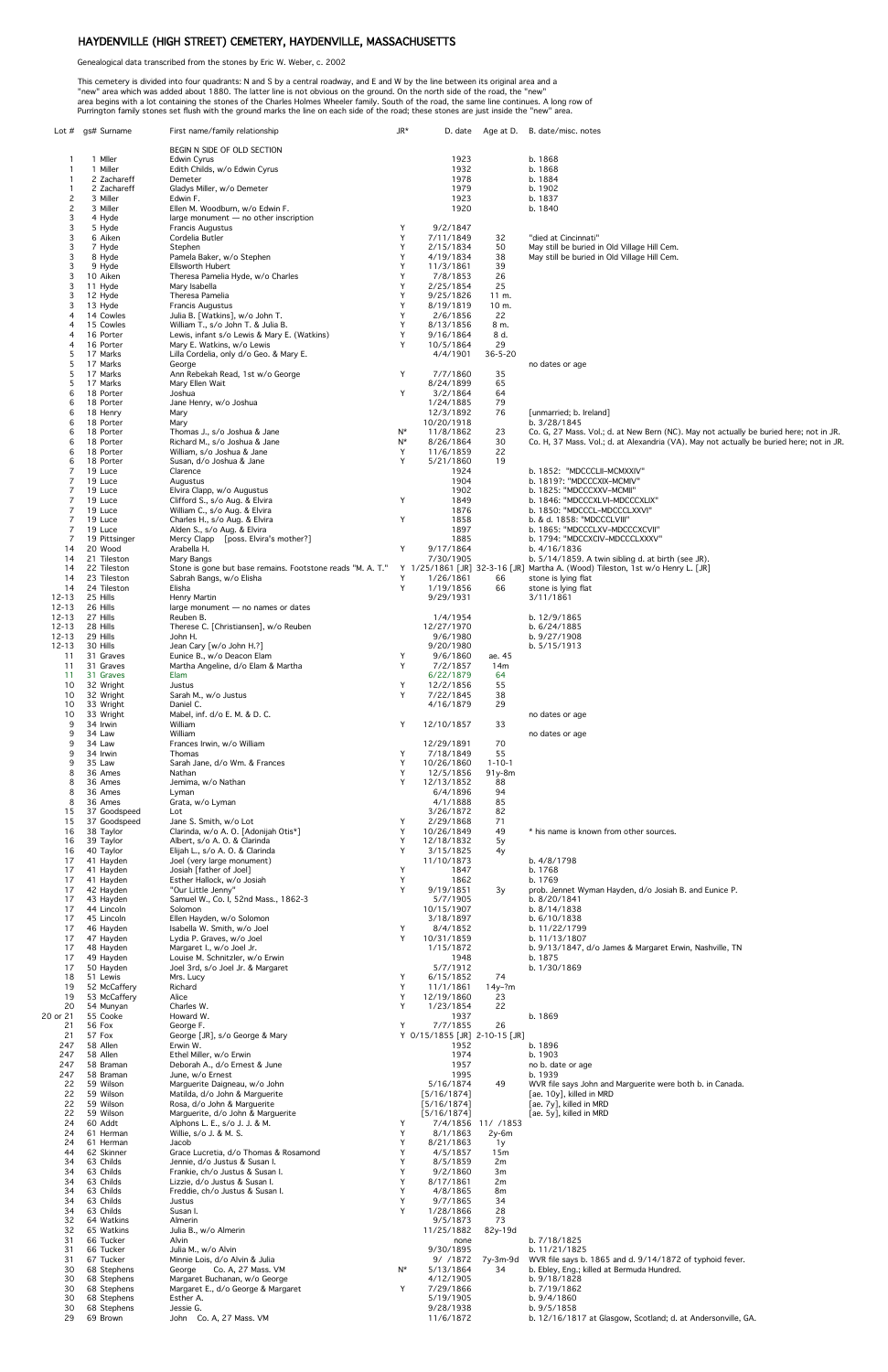## HAYDENVILLE (HIGH STREET) CEMETERY, HAYDENVILLE, MASSACHUSETTS

Genealogical data transcribed from the stones by Eric W. Weber, c. 2002

This cemetery is divided into four quadrants: N and S by a central roadway, and E and W by the line between its original area and a "new" area which was added about 1880. The latter line is not obvious on the ground. On the north side of the road, the "new" area begins with a lot containing the stones of the Charles Holmes Wheeler family. South of the road, the same line continues. A long row of Purrington family stones set flush with the ground marks the line on each side of the road; these stones are just inside the "new" area.

|                     | Lot # gs# Surname            | First name/family relationship                                                                                                            | $J R^*$ |                                           |                             | D. date Age at D. B. date/misc. notes                                                                  |
|---------------------|------------------------------|-------------------------------------------------------------------------------------------------------------------------------------------|---------|-------------------------------------------|-----------------------------|--------------------------------------------------------------------------------------------------------|
|                     |                              | BEGIN N SIDE OF OLD SECTION                                                                                                               |         |                                           |                             |                                                                                                        |
| -1                  | 1 Miler                      | Edwin Cyrus                                                                                                                               |         | 1923                                      |                             | b. 1868                                                                                                |
| -1<br>-1            | 1 Miller<br>2 Zachareff      | Edith Childs, w/o Edwin Cyrus<br>Demeter                                                                                                  |         | 1932<br>1978                              |                             | b. 1868<br>b. 1884                                                                                     |
| $\mathbf{1}$        | 2 Zachareff                  | Gladys Miller, w/o Demeter                                                                                                                |         | 1979                                      |                             | b. 1902                                                                                                |
| $\overline{c}$      | 3 Miller                     | Edwin F.                                                                                                                                  |         | 1923                                      |                             | b. 1837                                                                                                |
| $\overline{c}$<br>3 | 3 Miller<br>4 Hyde           | Ellen M. Woodburn, w/o Edwin F.<br>large monument $-$ no other inscription                                                                |         | 1920                                      |                             | b. 1840                                                                                                |
| 3                   | 5 Hyde                       | <b>Francis Augustus</b>                                                                                                                   | Y       | 9/2/1847                                  |                             |                                                                                                        |
| 3                   | 6 Aiken                      | Cordelia Butler                                                                                                                           | Y       | 7/11/1849                                 | 32                          | "died at Cincinnati"                                                                                   |
| 3<br>3              | 7 Hyde<br>8 Hyde             | Stephen<br>Pamela Baker, w/o Stephen                                                                                                      | Y<br>Y  | 2/15/1834<br>4/19/1834                    | 50<br>38                    | May still be buried in Old Village Hill Cem.<br>May still be buried in Old Village Hill Cem.           |
| 3                   | 9 Hyde                       | <b>Ellsworth Hubert</b>                                                                                                                   | Y       | 11/3/1861                                 | 39                          |                                                                                                        |
| 3<br>3              | 10 Aiken<br>11 Hyde          | Theresa Pamelia Hyde, w/o Charles<br>Mary Isabella                                                                                        | Y<br>Y  | 7/8/1853<br>2/25/1854                     | 26<br>25                    |                                                                                                        |
| 3                   | 12 Hyde                      | Theresa Pamelia                                                                                                                           | Y       | 9/25/1826                                 | 11 m.                       |                                                                                                        |
| 3                   | 13 Hyde                      | <b>Francis Augustus</b>                                                                                                                   | Y       | 8/19/1819                                 | 10 m.                       |                                                                                                        |
| 4<br>4              | 14 Cowles<br>15 Cowles       | Julia B. [Watkins], w/o John T.<br>William T., s/o John T. & Julia B.                                                                     | Y<br>Y  | 2/6/1856<br>8/13/1856                     | 22<br>8 m.                  |                                                                                                        |
| 4                   | 16 Porter                    | Lewis, infant s/o Lewis & Mary E. (Watkins)                                                                                               | Y       | 9/16/1864                                 | 8 d.                        |                                                                                                        |
| 4<br>5              | 16 Porter<br>17 Marks        | Mary E. Watkins, w/o Lewis                                                                                                                | Y       | 10/5/1864<br>4/4/1901                     | 29<br>$36 - 5 - 20$         |                                                                                                        |
| 5                   | 17 Marks                     | Lilla Cordelia, only d/o Geo. & Mary E.<br>George                                                                                         |         |                                           |                             | no dates or age                                                                                        |
| 5                   | 17 Marks                     | Ann Rebekah Read, 1st w/o George                                                                                                          | Y       | 7/7/1860                                  | 35                          |                                                                                                        |
| 5<br>6              | 17 Marks<br>18 Porter        | Mary Ellen Wait<br>Joshua                                                                                                                 | Y       | 8/24/1899<br>3/2/1864                     | 65<br>64                    |                                                                                                        |
| 6                   | 18 Porter                    | Jane Henry, w/o Joshua                                                                                                                    |         | 1/24/1885                                 | 79                          |                                                                                                        |
| 6<br>6              | 18 Henry<br>18 Porter        | Mary<br>Mary                                                                                                                              |         | 12/3/1892<br>10/20/1918                   | 76                          | [unmarried; b. Ireland]<br>b. 3/28/1845                                                                |
| 6                   | 18 Porter                    | Thomas J., s/o Joshua & Jane                                                                                                              | N*      | 11/8/1862                                 | 23                          | Co. G, 27 Mass. Vol.; d. at New Bern (NC). May not actually be buried here; not in JR.                 |
| 6                   | 18 Porter                    | Richard M., s/o Joshua & Jane                                                                                                             | $N^*$   | 8/26/1864                                 | 30                          | Co. H, 37 Mass. Vol.; d. at Alexandria (VA). May not actually be buried here; not in JR.               |
| 6<br>6              | 18 Porter<br>18 Porter       | William, s/o Joshua & Jane<br>Susan, d/o Joshua & Jane                                                                                    | Y<br>Y  | 11/6/1859<br>5/21/1860                    | 22<br>19                    |                                                                                                        |
| 7                   | 19 Luce                      | Clarence                                                                                                                                  |         | 1924                                      |                             | b. 1852: "MDCCCLII-MCMXXIV"                                                                            |
| 7<br>7              | 19 Luce<br>19 Luce           | Augustus<br>Elvira Clapp, w/o Augustus                                                                                                    |         | 1904<br>1902                              |                             | b. 1819?: "MDCCCXIX-MCMIV"<br>b. 1825: "MDCCCXXV-MCMII"                                                |
|                     | 19 Luce                      | Clifford S., s/o Aug. & Elvira                                                                                                            | Y       | 1849                                      |                             | b. 1846: "MDCCCXLVI-MDCCCXLIX"                                                                         |
| 7                   | 19 Luce                      | William C., s/o Aug. & Elvira                                                                                                             |         | 1876                                      |                             | b. 1850: "MDCCCL-MDCCCLXXVI"                                                                           |
| 7                   | 19 Luce<br>19 Luce           | Charles H., s/o Aug. & Elvira<br>Alden S., s/o Aug. & Elvira                                                                              | Y       | 1858<br>1897                              |                             | b. & d. 1858: "MDCCCLVIII"<br>b. 1865: "MDCCCLXV-MDCCCXCVII"                                           |
| 7                   | 19 Pittsinger                | Mercy Clapp [poss. Elvira's mother?]                                                                                                      |         | 1885                                      |                             | b. 1794: "MDCCXCIV-MDCCCLXXXV"                                                                         |
| 14<br>14            | 20 Wood<br>21 Tileston       | Arabella H.<br>Mary Bangs                                                                                                                 | Y       | 9/17/1864<br>7/30/1905                    |                             | b. 4/16/1836<br>b. $5/14/1859$ . A twin sibling d. at birth (see JR).                                  |
| 14                  | 22 Tileston                  | Stone is gone but base remains. Footstone reads "M. A. T." Y 1/25/1861 [JR] 32-3-16 [JR] Martha A. (Wood) Tileston, 1st w/o Henry L. [JR] |         |                                           |                             |                                                                                                        |
| 14                  | 23 Tileston                  | Sabrah Bangs, w/o Elisha                                                                                                                  | Y       | 1/26/1861                                 | 66                          | stone is lying flat                                                                                    |
| 14<br>12-13         | 24 Tileston<br>25 Hills      | Elisha<br>Henry Martin                                                                                                                    | Y       | 1/19/1856<br>9/29/1931                    | 66                          | stone is lying flat<br>3/11/1861                                                                       |
| 12-13               | 26 Hills                     | large monument $-$ no names or dates                                                                                                      |         |                                           |                             |                                                                                                        |
| 12-13               | 27 Hills                     | Reuben B.                                                                                                                                 |         | 1/4/1954                                  |                             | b. 12/9/1865                                                                                           |
| 12-13<br>12-13      | 28 Hills<br>29 Hills         | Therese C. [Christiansen], w/o Reuben<br>John H.                                                                                          |         | 12/27/1970<br>9/6/1980                    |                             | b. 6/24/1885<br>b. 9/27/1908                                                                           |
| $12 - 13$           | 30 Hills                     | Jean Cary [w/o John H.?]                                                                                                                  |         | 9/20/1980                                 |                             | b. 5/15/1913                                                                                           |
| 11<br>11            | 31 Graves<br>31 Graves       | Eunice B., w/o Deacon Elam<br>Martha Angeline, d/o Elam & Martha                                                                          | Y<br>Y  | 9/6/1860<br>7/2/1857                      | ae. 45<br>14m               |                                                                                                        |
| 11                  | 31 Graves                    | Elam                                                                                                                                      |         | 6/22/1879                                 | 64                          |                                                                                                        |
| 10                  | 32 Wright                    | Justus                                                                                                                                    | Y       | 12/2/1856                                 | 55                          |                                                                                                        |
| 10<br>10            | 32 Wright<br>33 Wright       | Sarah M., w/o Justus<br>Daniel C.                                                                                                         | Y       | 7/22/1845<br>4/16/1879                    | 38<br>29                    |                                                                                                        |
| 10                  | 33 Wright                    | Mabel, inf. d/o E. M. & D. C.                                                                                                             |         |                                           |                             | no dates or age                                                                                        |
| 9<br>9              | 34 Irwin<br>34 Law           | William<br>William                                                                                                                        | Y       | 12/10/1857                                | 33                          | no dates or age                                                                                        |
| 9                   | 34 Law                       | Frances Irwin, w/o William                                                                                                                |         | 12/29/1891                                | 70                          |                                                                                                        |
| 9                   | 34 Irwin                     | Thomas                                                                                                                                    | Y       | 7/18/1849                                 | 55                          |                                                                                                        |
| 9<br>8              | 35 Law<br>36 Ames            | Sarah Jane, d/o Wm. & Frances<br>Nathan                                                                                                   | Y<br>Y  | 10/26/1860<br>12/5/1856                   | $1 - 10 - 1$<br>91y-8m      |                                                                                                        |
| 8                   | 36 Ames                      | Jemima, w/o Nathan                                                                                                                        | Y       | 12/13/1852                                | 88                          |                                                                                                        |
| 8<br>8              | 36 Ames<br>36 Ames           | Lyman<br>Grata, w/o Lyman                                                                                                                 |         | 6/4/1896<br>4/1/1888                      | 94<br>85                    |                                                                                                        |
| 15                  | 37 Goodspeed                 | Lot                                                                                                                                       |         | 3/26/1872                                 | 82                          |                                                                                                        |
| 15<br>16            | 37 Goodspeed<br>38 Taylor    | Jane S. Smith, w/o Lot<br>Clarinda, w/o A. O. [Adonijah Otis*]                                                                            | Y<br>Y  | 2/29/1868<br>10/26/1849                   | 71<br>49                    | * his name is known from other sources.                                                                |
| 16                  | 39 Taylor                    | Albert, s/o A. O. & Clarinda                                                                                                              | Y       | 12/18/1832                                | 5y                          |                                                                                                        |
| 16                  | 40 Taylor                    | Elijah L., s/o A. O. & Clarinda                                                                                                           | Y       | 3/15/1825                                 | 4y                          |                                                                                                        |
| 17<br>17            | 41 Hayden<br>41 Hayden       | Joel (very large monument)<br>Josiah [father of Joel]                                                                                     | Y       | 11/10/1873<br>1847                        |                             | b. 4/8/1798<br>b. 1768                                                                                 |
| 17                  | 41 Hayden                    | Esther Hallock, w/o Josiah                                                                                                                | Y       | 1862                                      |                             | b. 1769                                                                                                |
| 17<br>17            | 42 Hayden<br>43 Hayden       | "Our Little Jenny"<br>Samuel W., Co. I, 52nd Mass., 1862-3                                                                                | Y       | 9/19/1851<br>5/7/1905                     | 3y                          | prob. Jennet Wyman Hayden, d/o Josiah B. and Eunice P.<br>b. 8/20/1841                                 |
| 17                  | 44 Lincoln                   | Solomon                                                                                                                                   |         | 10/15/1907                                |                             | b. 8/14/1838                                                                                           |
| 17<br>17            | 45 Lincoln<br>46 Hayden      | Ellen Hayden, w/o Solomon                                                                                                                 | Y       | 3/18/1897<br>8/4/1852                     |                             | b. 6/10/1838<br>b. 11/22/1799                                                                          |
| 17                  | 47 Hayden                    | Isabella W. Smith, w/o Joel<br>Lydia P. Graves, w/o Joel                                                                                  | Y       | 10/31/1859                                |                             | b. 11/13/1807                                                                                          |
| 17                  | 48 Hayden                    | Margaret I., w/o Joel Jr.                                                                                                                 |         | 1/15/1872                                 |                             | b. 9/13/1847, d/o James & Margaret Erwin, Nashville, TN                                                |
| 17<br>17            | 49 Hayden<br>50 Hayden       | Louise M. Schnitzler, w/o Erwin<br>Joel 3rd, s/o Joel Jr. & Margaret                                                                      |         | 1948<br>5/7/1912                          |                             | b. 1875<br>b. 1/30/1869                                                                                |
| 18                  | 51 Lewis                     | Mrs. Lucy                                                                                                                                 | Y       | 6/15/1852                                 | 74                          |                                                                                                        |
| 19<br>19            | 52 McCaffery<br>53 McCaffery | Richard<br>Alice                                                                                                                          | Y<br>Y  | 11/1/1861<br>12/19/1860                   | $14y - ?m$<br>23            |                                                                                                        |
| 20                  | 54 Munyan                    | Charles W.                                                                                                                                | Y       | 1/23/1854                                 | 22                          |                                                                                                        |
| 20 or 21            | 55 Cooke                     | Howard W.                                                                                                                                 |         | 1937                                      |                             | b. 1869                                                                                                |
| 21<br>21            | 56 Fox<br>57 Fox             | George F.<br>George [JR], s/o George & Mary                                                                                               | Y       | 7/7/1855<br>Y 0/15/1855 [JR] 2-10-15 [JR] | 26                          |                                                                                                        |
| 247                 | 58 Allen                     | Erwin W.                                                                                                                                  |         | 1952                                      |                             | b. 1896                                                                                                |
| 247<br>247          | 58 Allen<br>58 Braman        | Ethel Miller, w/o Erwin<br>Deborah A., d/o Ernest & June                                                                                  |         | 1974<br>1957                              |                             | b. 1903<br>no b. date or age                                                                           |
| 247                 | 58 Braman                    | June, w/o Ernest                                                                                                                          |         | 1995                                      |                             | b. 1939                                                                                                |
| 22                  | 59 Wilson                    | Marguerite Daigneau, w/o John<br>Matilda, d/o John & Marquerite                                                                           |         | 5/16/1874<br>[5/16/1874]                  | 49                          | WVR file says John and Marguerite were both b. in Canada.                                              |
| 22<br>22            | 59 Wilson<br>59 Wilson       | Rosa, d/o John & Marguerite                                                                                                               |         | [5/16/1874]                               |                             | [ae. 10y], killed in MRD<br>[ae. 7y], killed in MRD                                                    |
| 22                  | 59 Wilson                    | Marguerite, d/o John & Marguerite                                                                                                         |         | [5/16/1874]                               |                             | [ae. 5y], killed in MRD                                                                                |
| 24<br>24            | 60 Addt<br>61 Herman         | Alphons L. E., s/o J. J. & M.<br>Willie, s/o J. & M. S.                                                                                   | Y<br>Y  | 8/1/1863                                  | 7/4/1856 11/ /1853<br>2y-6m |                                                                                                        |
| 24                  | 61 Herman                    | Jacob                                                                                                                                     | Y       | 8/21/1863                                 | 1y                          |                                                                                                        |
| 44<br>34            | 62 Skinner<br>63 Childs      | Grace Lucretia, d/o Thomas & Rosamond<br>Jennie, d/o Justus & Susan I.                                                                    | Y<br>Y  | 4/5/1857<br>8/5/1859                      | 15m<br>2m                   |                                                                                                        |
| 34                  | 63 Childs                    | Frankie, ch/o Justus & Susan I.                                                                                                           | Y       | 9/2/1860                                  | 3m                          |                                                                                                        |
| 34                  | 63 Childs                    | Lizzie, d/o Justus & Susan I.                                                                                                             | Y       | 8/17/1861                                 | 2m                          |                                                                                                        |
| 34<br>34            | 63 Childs<br>63 Childs       | Freddie, ch/o Justus & Susan I.<br>Justus                                                                                                 | Y<br>Y  | 4/8/1865<br>9/7/1865                      | 8m<br>34                    |                                                                                                        |
| 34                  | 63 Childs                    | Susan I.                                                                                                                                  | Y       | 1/28/1866                                 | 28                          |                                                                                                        |
| 32<br>32            | 64 Watkins<br>65 Watkins     | Almerin<br>Julia B., w/o Almerin                                                                                                          |         | 9/5/1873<br>11/25/1882                    | 73<br>82y-19d               |                                                                                                        |
| 31                  | 66 Tucker                    | Alvin                                                                                                                                     |         | none                                      |                             | b. 7/18/1825                                                                                           |
| 31                  | 66 Tucker                    | Julia M., w/o Alvin                                                                                                                       |         | 9/30/1895                                 |                             | b. 11/21/1825                                                                                          |
| 31<br>30            | 67 Tucker<br>68 Stephens     | Minnie Lois, d/o Alvin & Julia<br>Co. A, 27 Mass. VM<br>George                                                                            | N*      | 9/ /1872<br>5/13/1864                     | 7y-3m-9d<br>34              | WVR file says b. 1865 and d. 9/14/1872 of typhoid fever.<br>b. Ebley, Eng.; killed at Bermuda Hundred. |
| 30                  | 68 Stephens                  | Margaret Buchanan, w/o George                                                                                                             |         | 4/12/1905                                 |                             | b. 9/18/1828                                                                                           |
| 30<br>30            | 68 Stephens<br>68 Stephens   | Margaret E., d/o George & Margaret<br>Esther A.                                                                                           | Y       | 7/29/1866<br>5/19/1905                    |                             | b. 7/19/1862<br>b. 9/4/1860                                                                            |
| 30                  | 68 Stephens                  | Jessie G.                                                                                                                                 |         | 9/28/1938                                 |                             | b. 9/5/1858                                                                                            |
| 29                  | 69 Brown                     | John Co. A, 27 Mass. VM                                                                                                                   |         | 11/6/1872                                 |                             | b. 12/16/1817 at Glasgow, Scotland; d. at Andersonville, GA.                                           |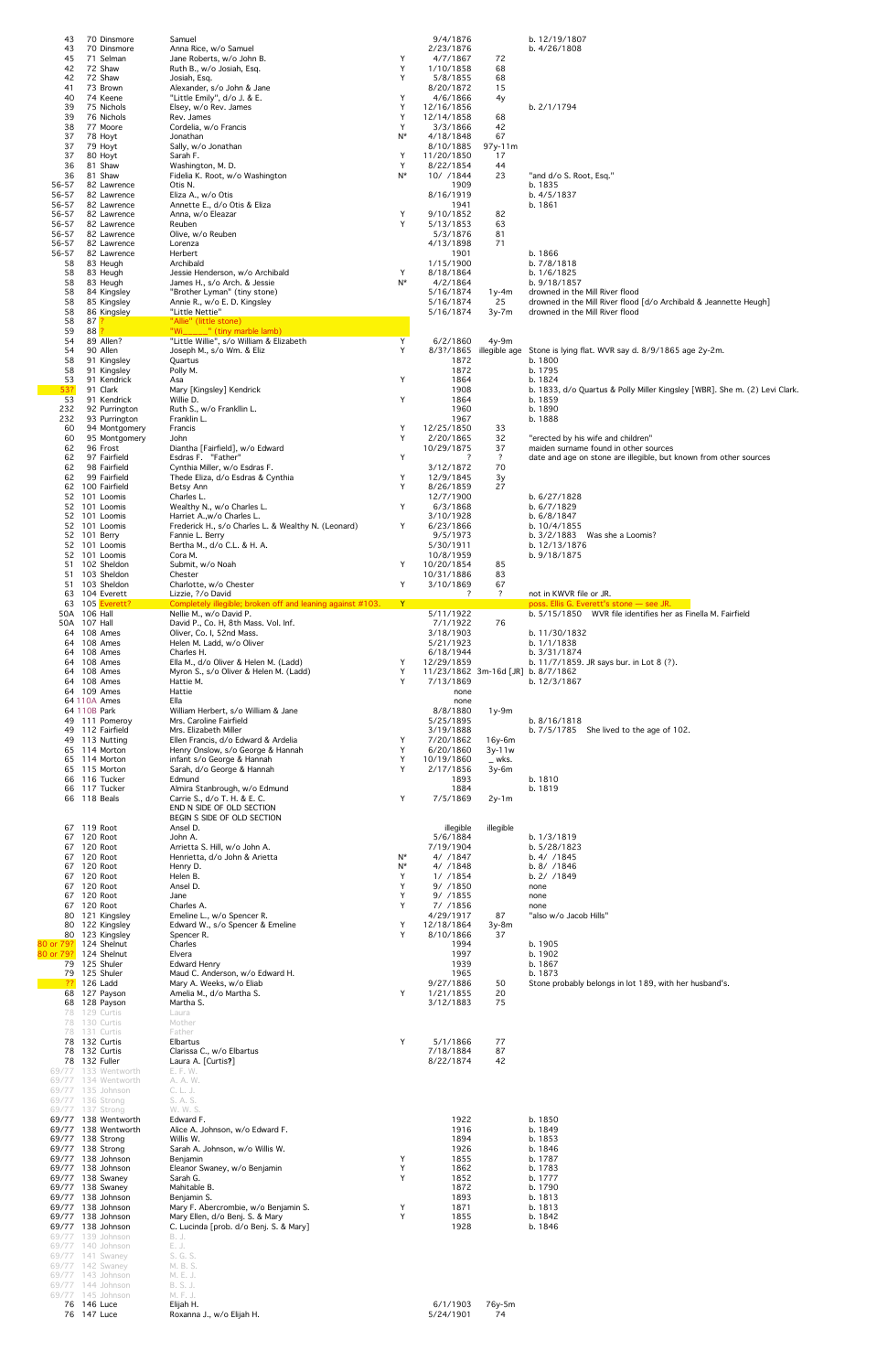| 43<br>43                                       |                                 | 70 Dinsmore<br>70 Dinsmore                 | Samuel<br>Anna Rice, w/o Samuel                                                 |            | 9/4/1876<br>2/23/1876                            |                          | b. 12/19/1807<br>b. 4/26/1808                                                                        |
|------------------------------------------------|---------------------------------|--------------------------------------------|---------------------------------------------------------------------------------|------------|--------------------------------------------------|--------------------------|------------------------------------------------------------------------------------------------------|
| 45                                             |                                 | 71 Selman                                  | Jane Roberts, w/o John B.                                                       | Y          | 4/7/1867                                         | 72                       |                                                                                                      |
| 42<br>42                                       | 72 Shaw<br>72 Shaw              |                                            | Ruth B., w/o Josiah, Esq.<br>Josiah, Esq.                                       | Y<br>Y     | 1/10/1858<br>5/8/1855                            | 68<br>68                 |                                                                                                      |
| 41                                             |                                 | 73 Brown                                   | Alexander, s/o John & Jane                                                      |            | 8/20/1872                                        | 15                       |                                                                                                      |
| 40<br>39                                       |                                 | 74 Keene<br>75 Nichols                     | "Little Emily", d/o J. & E.<br>Elsey, w/o Rev. James                            | Y<br>Y     | 4/6/1866<br>12/16/1856                           | 4y                       | b. 2/1/1794                                                                                          |
| 39<br>38                                       |                                 | 76 Nichols<br>77 Moore                     | Rev. James                                                                      | Y<br>Y     | 12/14/1858<br>3/3/1866                           | 68<br>42                 |                                                                                                      |
| 37                                             | 78 Hoyt                         |                                            | Cordelia, w/o Francis<br>Jonathan                                               | $N^*$      | 4/18/1848                                        | 67                       |                                                                                                      |
| 37<br>37                                       | 79 Hoyt<br>80 Hoyt              |                                            | Sally, w/o Jonathan<br>Sarah F.                                                 | Y          | 8/10/1885<br>11/20/1850                          | 97y-11m<br>17            |                                                                                                      |
| 36                                             | 81 Shaw                         |                                            | Washington, M. D.                                                               | Y          | 8/22/1854                                        | 44                       |                                                                                                      |
| 36<br>56-57                                    | 81 Shaw                         | 82 Lawrence                                | Fidelia K. Root, w/o Washington<br>Otis N.                                      | $N^*$      | 10/ /1844<br>1909                                | 23                       | "and d/o S. Root, Esq."<br>b. 1835                                                                   |
| 56-57                                          |                                 | 82 Lawrence                                | Eliza A., w/o Otis                                                              |            | 8/16/1919                                        |                          | b. 4/5/1837                                                                                          |
| 56-57<br>56-57                                 |                                 | 82 Lawrence<br>82 Lawrence                 | Annette E., d/o Otis & Eliza<br>Anna, w/o Eleazar                               | Υ          | 1941<br>9/10/1852                                | 82                       | b. 1861                                                                                              |
| 56-57<br>56-57                                 |                                 | 82 Lawrence<br>82 Lawrence                 | Reuben<br>Olive, w/o Reuben                                                     | Y          | 5/13/1853<br>5/3/1876                            | 63<br>81                 |                                                                                                      |
| 56-57                                          |                                 | 82 Lawrence                                | Lorenza                                                                         |            | 4/13/1898                                        | 71                       |                                                                                                      |
| 56-57<br>58                                    |                                 | 82 Lawrence<br>83 Heugh                    | Herbert<br>Archibald                                                            |            | 1901<br>1/15/1900                                |                          | b. 1866<br>b. 7/8/1818                                                                               |
| 58<br>58                                       |                                 | 83 Heugh<br>83 Heugh                       | Jessie Henderson, w/o Archibald<br>James H., s/o Arch. & Jessie                 | Y<br>$N^*$ | 8/18/1864<br>4/2/1864                            |                          | b. 1/6/1825<br>b. 9/18/1857                                                                          |
| 58                                             |                                 | 84 Kingsley                                | "Brother Lyman" (tiny stone)                                                    |            | 5/16/1874                                        | $1y-4m$                  | drowned in the Mill River flood                                                                      |
| 58<br>58                                       |                                 | 85 Kingsley<br>86 Kingsley                 | Annie R., w/o E. D. Kingsley<br>"Little Nettie"                                 |            | 5/16/1874<br>5/16/1874                           | 25<br>$3y-7m$            | drowned in the Mill River flood [d/o Archibald & Jeannette Heugh]<br>drowned in the Mill River flood |
| 58                                             | $87$ $?$                        |                                            | "Allie" (little stone)<br>"Wi_____" (tiny marble lamb)                          |            |                                                  |                          |                                                                                                      |
| 59<br>54                                       | $88$ ?<br>89 Allen?             |                                            | "Little Willie", s/o William & Elizabeth                                        | Y          | 6/2/1860                                         | $4y-9m$                  |                                                                                                      |
| 54<br>58                                       | 90 Allen                        | 91 Kingsley                                | Joseph M., s/o Wm. & Eliz<br>Quartus                                            | Y          | 8/3?/1865<br>1872                                |                          | illegible age Stone is lying flat. WVR say d. 8/9/1865 age 2y-2m.<br>b. 1800                         |
| 58                                             |                                 | 91 Kingsley                                | Polly M.                                                                        |            | 1872                                             |                          | b. 1795                                                                                              |
| 53<br>53?                                      | 91 Clark                        | 91 Kendrick                                | Asa<br>Mary [Kingsley] Kendrick                                                 | Y          | 1864<br>1908                                     |                          | b. 1824<br>b. 1833, d/o Quartus & Polly Miller Kingsley [WBR]. She m. (2) Levi Clark.                |
| 53                                             |                                 | 91 Kendrick                                | Willie D.                                                                       | Y          | 1864                                             |                          | b. 1859                                                                                              |
| 232<br>232                                     |                                 | 92 Purrington<br>93 Purrington             | Ruth S., w/o Frankllin L.<br>Franklin L.                                        |            | 1960<br>1967                                     |                          | b. 1890<br>b. 1888                                                                                   |
| 60<br>60                                       |                                 | 94 Montgomery<br>95 Montgomery             | Francis<br>John                                                                 | Y<br>Y     | 12/25/1850<br>2/20/1865                          | 33<br>32                 | "erected by his wife and children"                                                                   |
| 62                                             | 96 Frost                        |                                            | Diantha [Fairfield], w/o Edward                                                 |            | 10/29/1875                                       | 37                       | maiden surname found in other sources                                                                |
| 62<br>62                                       |                                 | 97 Fairfield<br>98 Fairfield               | Esdras F. "Father"<br>Cynthia Miller, w/o Esdras F.                             | Y          | ?<br>3/12/1872                                   | $\overline{\cdot}$<br>70 | date and age on stone are illegible, but known from other sources                                    |
| 62                                             |                                 | 99 Fairfield                               | Thede Eliza, d/o Esdras & Cynthia                                               | Y<br>Y     | 12/9/1845                                        | 3y                       |                                                                                                      |
|                                                | 52 101 Loomis                   | 62 100 Fairfield                           | Betsy Ann<br>Charles L.                                                         |            | 8/26/1859<br>12/7/1900                           | 27                       | b. 6/27/1828                                                                                         |
|                                                | 52 101 Loomis<br>52 101 Loomis  |                                            | Wealthy N., w/o Charles L.<br>Harriet A., w/o Charles L.                        | Y          | 6/3/1868<br>3/10/1928                            |                          | b. 6/7/1829<br>b. 6/8/1847                                                                           |
|                                                | 52 101 Loomis                   |                                            | Frederick H., s/o Charles L. & Wealthy N. (Leonard)                             | Y          | 6/23/1866                                        |                          | b. 10/4/1855                                                                                         |
|                                                | 52 101 Berry<br>52 101 Loomis   |                                            | Fannie L. Berry<br>Bertha M., d/o C.L. & H. A.                                  |            | 9/5/1973<br>5/30/1911                            |                          | b. 3/2/1883 Was she a Loomis?<br>b. 12/13/1876                                                       |
|                                                | 52 101 Loomis                   |                                            | Cora M.                                                                         |            | 10/8/1959                                        |                          | b. 9/18/1875                                                                                         |
|                                                |                                 | 51 102 Sheldon<br>51 103 Sheldon           | Submit, w/o Noah<br>Chester                                                     | Y          | 10/20/1854<br>10/31/1886                         | 85<br>83                 |                                                                                                      |
|                                                |                                 | 51 103 Sheldon<br>63 104 Everett           | Charlotte, w/o Chester<br>Lizzie, ?/o David                                     | Y          | 3/10/1869<br>?                                   | 67<br>$\ddot{?}$         | not in KWVR file or JR.                                                                              |
|                                                |                                 | 63 105 Everett?                            | Completely illegible; broken off and leaning against #103.                      | Y.         |                                                  |                          | poss. Ellis G. Everett's stone - see JR.                                                             |
|                                                | 50A 106 Hall<br>50A 107 Hall    |                                            | Nellie M., w/o David P.<br>David P., Co. H, 8th Mass. Vol. Inf.                 |            | 5/11/1922<br>7/1/1922                            | 76                       | b. 5/15/1850 WVR file identifies her as Finella M. Fairfield                                         |
|                                                | 64 108 Ames<br>64 108 Ames      |                                            | Oliver, Co. I, 52nd Mass.<br>Helen M. Ladd, w/o Oliver                          |            | 3/18/1903<br>5/21/1923                           |                          | b. 11/30/1832<br>b. 1/1/1838                                                                         |
|                                                | 64 108 Ames                     |                                            | Charles H.                                                                      |            | 6/18/1944                                        |                          | b. 3/31/1874                                                                                         |
|                                                | 64 108 Ames<br>64 108 Ames      |                                            | Ella M., d/o Oliver & Helen M. (Ladd)<br>Myron S., s/o Oliver & Helen M. (Ladd) | Y<br>Y     | 12/29/1859<br>11/23/1862 3m-16d [JR] b. 8/7/1862 |                          | b. 11/7/1859. JR says bur. in Lot 8 (?).                                                             |
|                                                | 64 108 Ames                     |                                            | Hattie M.                                                                       | Y          | 7/13/1869                                        |                          | b. 12/3/1867                                                                                         |
|                                                | 64 109 Ames<br>64 110A Ames     |                                            | Hattie<br>Ella                                                                  |            | none<br>none                                     |                          |                                                                                                      |
|                                                | 64 110B Park                    | 49 111 Pomeroy                             | William Herbert, s/o William & Jane<br>Mrs. Caroline Fairfield                  |            | 8/8/1880<br>5/25/1895                            | $1y-9m$                  | b. 8/16/1818                                                                                         |
|                                                |                                 | 49 112 Fairfield                           | Mrs. Elizabeth Miller                                                           |            | 3/19/1888                                        |                          | b. $7/5/1785$ She lived to the age of 102.                                                           |
|                                                | 49 113 Nutting<br>65 114 Morton |                                            | Ellen Francis, d/o Edward & Ardelia<br>Henry Onslow, s/o George & Hannah        | Y<br>Y     | 7/20/1862<br>6/20/1860                           | $16y-6m$<br>$3y-11w$     |                                                                                                      |
|                                                | 65 114 Morton                   |                                            | infant s/o George & Hannah                                                      | Y<br>Y     | 10/19/1860                                       | _ wks.                   |                                                                                                      |
|                                                | 65 115 Morton<br>66 116 Tucker  |                                            | Sarah, d/o George & Hannah<br>Edmund                                            |            | 2/17/1856<br>1893                                | 3y-6m                    | b. 1810                                                                                              |
|                                                | 66 117 Tucker<br>66 118 Beals   |                                            | Almira Stanbrough, w/o Edmund<br>Carrie S., d/o T. H. & E. C.                   | Y          | 1884<br>7/5/1869                                 | $2y-1m$                  | b. 1819                                                                                              |
|                                                |                                 |                                            | END N SIDE OF OLD SECTION                                                       |            |                                                  |                          |                                                                                                      |
|                                                | 67 119 Root                     |                                            | BEGIN S SIDE OF OLD SECTION<br>Ansel D.                                         |            | illegible                                        | illegible                |                                                                                                      |
|                                                | 67 120 Root<br>67 120 Root      |                                            | John A.<br>Arrietta S. Hill, w/o John A.                                        |            | 5/6/1884<br>7/19/1904                            |                          | b. 1/3/1819<br>b. 5/28/1823                                                                          |
|                                                | 67 120 Root                     |                                            | Henrietta, d/o John & Arietta                                                   | N*         | 4/ /1847                                         |                          | b. 4/ / 1845                                                                                         |
|                                                | 67 120 Root<br>67 120 Root      |                                            | Henry D.<br>Helen B.                                                            | $N^*$<br>Y | 4/ /1848<br>1/ /1854                             |                          | $b. 8/$ /1846<br>b. 2/ / 1849                                                                        |
|                                                | 67 120 Root                     |                                            | Ansel D.                                                                        | Y          | 9/ /1850                                         |                          | none                                                                                                 |
|                                                | 67 120 Root<br>67 120 Root      |                                            | Jane<br>Charles A.                                                              | Υ<br>Y     | 9/ /1855<br>7/ /1856                             |                          | none<br>none                                                                                         |
|                                                |                                 | 80 121 Kingsley<br>80 122 Kingsley         | Emeline L., w/o Spencer R.<br>Edward W., s/o Spencer & Emeline                  | Y          | 4/29/1917<br>12/18/1864                          | 87<br>$3y-8m$            | "also w/o Jacob Hills"                                                                               |
|                                                |                                 | 80 123 Kingsley                            | Spencer R.                                                                      | Y          | 8/10/1866                                        | 37                       |                                                                                                      |
| 80 or 79? 124 Shelnut<br>80 or 79? 124 Shelnut |                                 |                                            | Charles<br>Elvera                                                               |            | 1994<br>1997                                     |                          | b. 1905<br>b. 1902                                                                                   |
|                                                | 79 125 Shuler<br>79 125 Shuler  |                                            | Edward Henry<br>Maud C. Anderson, w/o Edward H.                                 |            | 1939<br>1965                                     |                          | b. 1867<br>b. 1873                                                                                   |
|                                                | <b>??</b> 126 Ladd              |                                            | Mary A. Weeks, w/o Eliab                                                        |            | 9/27/1886                                        | 50                       | Stone probably belongs in lot 189, with her husband's.                                               |
|                                                | 68 127 Payson<br>68 128 Payson  |                                            | Amelia M., d/o Martha S.<br>Martha S.                                           | Y          | 1/21/1855<br>3/12/1883                           | 20<br>75                 |                                                                                                      |
|                                                | 78 129 Curtis                   |                                            | Laura                                                                           |            |                                                  |                          |                                                                                                      |
|                                                | 78 130 Curtis<br>78 131 Curtis  |                                            | Mother<br>Father                                                                |            |                                                  |                          |                                                                                                      |
|                                                | 78 132 Curtis<br>78 132 Curtis  |                                            | Elbartus<br>Clarissa C., w/o Elbartus                                           | Υ          | 5/1/1866<br>7/18/1884                            | 77<br>87                 |                                                                                                      |
|                                                | 78 132 Fuller                   |                                            | Laura A. [Curtis?]                                                              |            | 8/22/1874                                        | 42                       |                                                                                                      |
|                                                |                                 | 69/77 133 Wentworth<br>69/77 134 Wentworth | E. F. W.<br>A. A. W.                                                            |            |                                                  |                          |                                                                                                      |
| 69/77 135 Johnson<br>69/77 136 Strong          |                                 |                                            | C. L. J.<br>S. A. S.                                                            |            |                                                  |                          |                                                                                                      |
| 69/77 137 Strong                               |                                 |                                            | W. W. S.                                                                        |            |                                                  |                          |                                                                                                      |
|                                                |                                 | 69/77 138 Wentworth<br>69/77 138 Wentworth | Edward F.<br>Alice A. Johnson, w/o Edward F.                                    |            | 1922<br>1916                                     |                          | b. 1850<br>b. 1849                                                                                   |
| 69/77 138 Strong<br>69/77 138 Strong           |                                 |                                            | Willis W.<br>Sarah A. Johnson, w/o Willis W.                                    |            | 1894<br>1926                                     |                          | b. 1853<br>b. 1846                                                                                   |
| 69/77 138 Johnson                              |                                 |                                            | Benjamin                                                                        | Y          | 1855                                             |                          | b. 1787                                                                                              |
| 69/77 138 Johnson<br>69/77 138 Swaney          |                                 |                                            | Eleanor Swaney, w/o Benjamin<br>Sarah G.                                        | Y<br>Y     | 1862<br>1852                                     |                          | b. 1783<br>b. 1777                                                                                   |
| 69/77 138 Swaney                               |                                 |                                            | Mahitable B.                                                                    |            | 1872                                             |                          | b. 1790                                                                                              |
| 69/77 138 Johnson<br>69/77 138 Johnson         |                                 |                                            | Benjamin S.<br>Mary F. Abercrombie, w/o Benjamin S.                             | Υ          | 1893<br>1871                                     |                          | b. 1813<br>b. 1813                                                                                   |
| 69/77 138 Johnson<br>69/77 138 Johnson         |                                 |                                            | Mary Ellen, d/o Benj. S. & Mary<br>C. Lucinda [prob. d/o Benj. S. & Mary]       | Y          | 1855<br>1928                                     |                          | b. 1842<br>b. 1846                                                                                   |
| 69/77 139 Johnson                              |                                 |                                            | B. J.                                                                           |            |                                                  |                          |                                                                                                      |
| 69/77 140 Johnson<br>69/77 141 Swaney          |                                 |                                            | E. J.<br>S. G. S.                                                               |            |                                                  |                          |                                                                                                      |
| 69/77 142 Swaney<br>69/77 143 Johnson          |                                 |                                            | M. B. S.<br>M. E. J.                                                            |            |                                                  |                          |                                                                                                      |
| 69/77 144 Johnson                              |                                 |                                            | B. S. J.                                                                        |            |                                                  |                          |                                                                                                      |
| 69/77 145 Johnson                              | 76 146 Luce                     |                                            | M. F. J.<br>Elijah H.                                                           |            | 6/1/1903                                         | 76y-5m                   |                                                                                                      |
|                                                | 76 147 Luce                     |                                            | Roxanna J., w/o Elijah H.                                                       |            | 5/24/1901                                        | 74                       |                                                                                                      |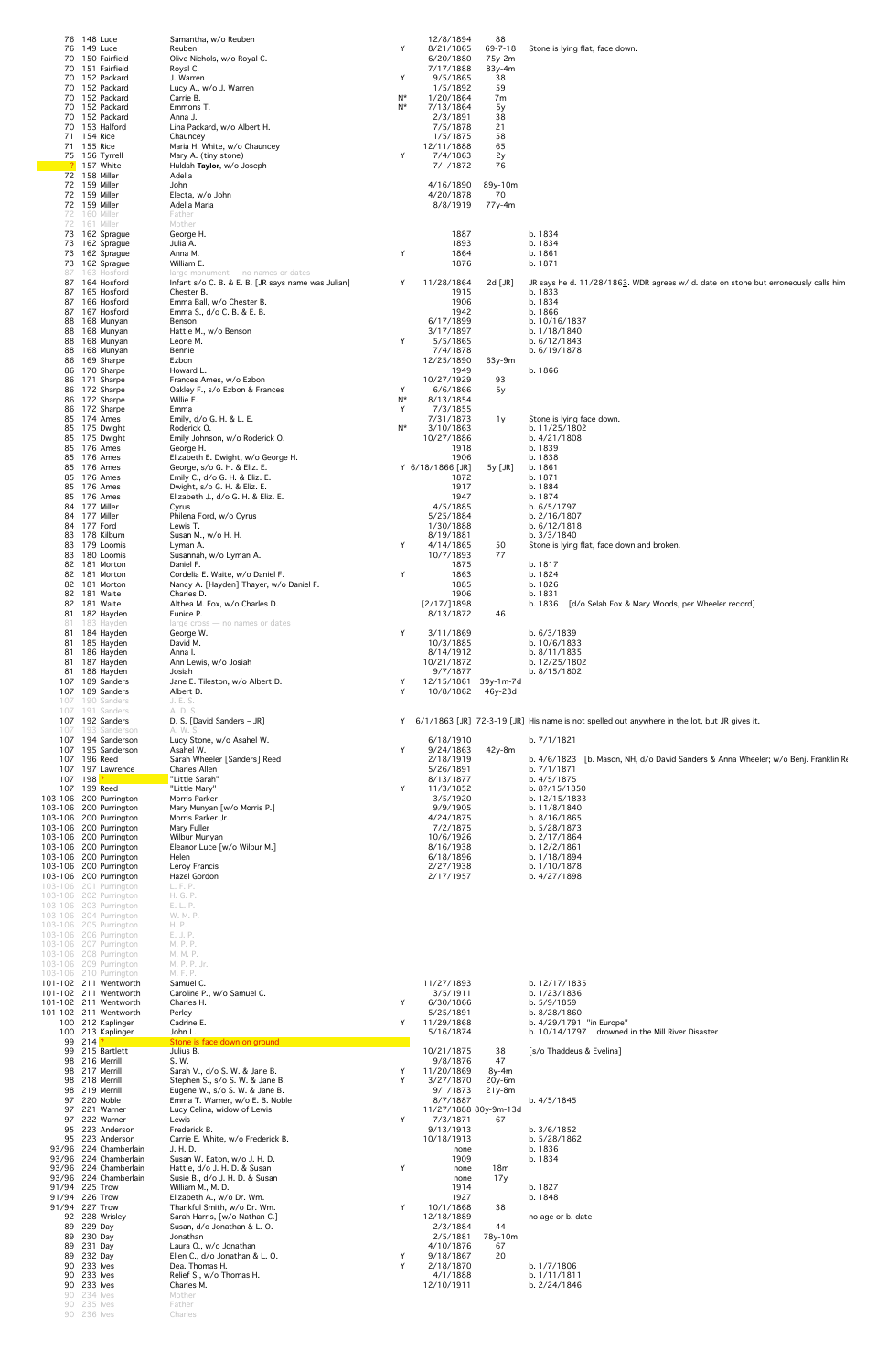|                                  | 76 148 Luce<br>76 149 Luce<br>70 150 Fairfield<br>70 151 Fairfield<br>70 152 Packard<br>70 152 Packard<br>70 152 Packard<br>70 152 Packard<br>70 152 Packard<br>70 153 Halford<br>71 154 Rice<br>71 155 Rice<br>75 156 Tyrrell<br><b>?</b> 157 White<br>72 158 Miller<br>72 159 Miller<br>72 159 Miller<br>72 159 Miller<br>72 160 Miller | Samantha, w/o Reuben<br>Reuben<br>Olive Nichols, w/o Royal C.<br>Royal C.<br>J. Warren<br>Lucy A., w/o J. Warren<br>Carrie B.<br>Emmons T.<br>Anna J.<br>Lina Packard, w/o Albert H.<br>Chauncey<br>Maria H. White, w/o Chauncey<br>Mary A. (tiny stone)<br>Huldah Taylor, w/o Joseph<br>Adelia<br>John<br>Electa, w/o John<br>Adelia Maria<br>Father | Y<br>Y<br>N*<br>N*<br>Y | 12/8/1894<br>8/21/1865<br>6/20/1880<br>7/17/1888<br>9/5/1865<br>1/5/1892<br>1/20/1864<br>7/13/1864<br>2/3/1891<br>7/5/1878<br>1/5/1875<br>12/11/1888<br>7/4/1863<br>7/ /1872<br>4/16/1890<br>4/20/1878<br>8/8/1919 | 88<br>$69 - 7 - 18$<br>75y-2m<br>83y-4m<br>38<br>59<br>7m<br>5y<br>38<br>21<br>58<br>65<br>2y<br>76<br>89y-10m<br>70<br>77y-4m | Stone is lying flat, face down.                                                                    |
|----------------------------------|-------------------------------------------------------------------------------------------------------------------------------------------------------------------------------------------------------------------------------------------------------------------------------------------------------------------------------------------|-------------------------------------------------------------------------------------------------------------------------------------------------------------------------------------------------------------------------------------------------------------------------------------------------------------------------------------------------------|-------------------------|--------------------------------------------------------------------------------------------------------------------------------------------------------------------------------------------------------------------|--------------------------------------------------------------------------------------------------------------------------------|----------------------------------------------------------------------------------------------------|
|                                  | 72 161 Miller<br>73 162 Sprague<br>73 162 Sprague<br>73 162 Sprague                                                                                                                                                                                                                                                                       | Mother<br>George H.<br>Julia A.<br>Anna M.                                                                                                                                                                                                                                                                                                            | Y                       | 1887<br>1893<br>1864                                                                                                                                                                                               |                                                                                                                                | b. 1834<br>b. 1834<br>b. 1861                                                                      |
|                                  | 73 162 Sprague<br>87 163 Hosford<br>87 164 Hosford                                                                                                                                                                                                                                                                                        | William E.<br>$large$ monument $-$ no names or dates<br>Infant s/o C. B. & E. B. [JR says name was Julian]                                                                                                                                                                                                                                            | Y                       | 1876<br>11/28/1864                                                                                                                                                                                                 | 2d $[JR]$                                                                                                                      | b. 1871<br>JR says he d. 11/28/1863. WDR agrees w/ d. date on stone but erroneously calls him      |
|                                  | 87 165 Hosford<br>87 166 Hosford<br>87 167 Hosford<br>88 168 Munyan                                                                                                                                                                                                                                                                       | Chester B.<br>Emma Ball, w/o Chester B.<br>Emma S., d/o C. B. & E. B.<br>Benson                                                                                                                                                                                                                                                                       |                         | 1915<br>1906<br>1942<br>6/17/1899                                                                                                                                                                                  |                                                                                                                                | b. 1833<br>b. 1834<br>b. 1866<br>b. 10/16/1837                                                     |
|                                  | 88 168 Munyan<br>88 168 Munyan<br>88 168 Munyan                                                                                                                                                                                                                                                                                           | Hattie M., w/o Benson<br>Leone M.<br>Bennie                                                                                                                                                                                                                                                                                                           | Y                       | 3/17/1897<br>5/5/1865<br>7/4/1878                                                                                                                                                                                  |                                                                                                                                | b. 1/18/1840<br>b. 6/12/1843<br>b. 6/19/1878                                                       |
|                                  | 86 169 Sharpe<br>86 170 Sharpe<br>86 171 Sharpe                                                                                                                                                                                                                                                                                           | Ezbon<br>Howard L.<br>Frances Ames, w/o Ezbon                                                                                                                                                                                                                                                                                                         |                         | 12/25/1890<br>1949<br>10/27/1929                                                                                                                                                                                   | 63y-9m<br>93                                                                                                                   | b. 1866                                                                                            |
|                                  | 86 172 Sharpe<br>86 172 Sharpe<br>86 172 Sharpe                                                                                                                                                                                                                                                                                           | Oakley F., s/o Ezbon & Frances<br>Willie E.<br>Emma                                                                                                                                                                                                                                                                                                   | Y<br>N*<br>Y            | 6/6/1866<br>8/13/1854<br>7/3/1855                                                                                                                                                                                  | 5y                                                                                                                             |                                                                                                    |
|                                  | 85 174 Ames<br>85 175 Dwight                                                                                                                                                                                                                                                                                                              | Emily, d/o G. H. & L. E.<br>Roderick O.<br>Emily Johnson, w/o Roderick O.                                                                                                                                                                                                                                                                             | N*                      | 7/31/1873<br>3/10/1863<br>10/27/1886                                                                                                                                                                               | 1y                                                                                                                             | Stone is lying face down.<br>b. 11/25/1802<br>b. 4/21/1808                                         |
|                                  | 85 175 Dwight<br>85 176 Ames<br>85 176 Ames                                                                                                                                                                                                                                                                                               | George H.<br>Elizabeth E. Dwight, w/o George H.                                                                                                                                                                                                                                                                                                       |                         | 1918<br>1906                                                                                                                                                                                                       |                                                                                                                                | b. 1839<br>b. 1838                                                                                 |
|                                  | 85 176 Ames<br>85 176 Ames<br>85 176 Ames                                                                                                                                                                                                                                                                                                 | George, s/o G. H. & Eliz. E.<br>Emily C., d/o G. H. & Eliz. E.<br>Dwight, s/o G. H. & Eliz. E.                                                                                                                                                                                                                                                        |                         | Y 6/18/1866 [JR]<br>1872<br>1917                                                                                                                                                                                   | 5y [JR]                                                                                                                        | b. 1861<br>b. 1871<br>b. 1884                                                                      |
|                                  | 85 176 Ames<br>84 177 Miller<br>84 177 Miller                                                                                                                                                                                                                                                                                             | Elizabeth J., d/o G. H. & Eliz. E.<br>Cyrus<br>Philena Ford, w/o Cyrus                                                                                                                                                                                                                                                                                |                         | 1947<br>4/5/1885<br>5/25/1884                                                                                                                                                                                      |                                                                                                                                | b. 1874<br>b. 6/5/1797<br>b. 2/16/1807                                                             |
|                                  | 84 177 Ford<br>83 178 Kilburn<br>83 179 Loomis                                                                                                                                                                                                                                                                                            | Lewis T.<br>Susan M., w/o H. H.                                                                                                                                                                                                                                                                                                                       | Y                       | 1/30/1888<br>8/19/1881<br>4/14/1865                                                                                                                                                                                |                                                                                                                                | b. 6/12/1818<br>b. 3/3/1840                                                                        |
|                                  | 83 180 Loomis<br>82 181 Morton                                                                                                                                                                                                                                                                                                            | Lyman A.<br>Susannah, w/o Lyman A.<br>Daniel F.                                                                                                                                                                                                                                                                                                       |                         | 10/7/1893<br>1875                                                                                                                                                                                                  | 50<br>77                                                                                                                       | Stone is lying flat, face down and broken.<br>b. 1817                                              |
|                                  | 82 181 Morton<br>82 181 Morton<br>82 181 Waite                                                                                                                                                                                                                                                                                            | Cordelia E. Waite, w/o Daniel F.<br>Nancy A. [Hayden] Thayer, w/o Daniel F.<br>Charles D.                                                                                                                                                                                                                                                             | Y                       | 1863<br>1885<br>1906                                                                                                                                                                                               |                                                                                                                                | b. 1824<br>b. 1826<br>b. 1831                                                                      |
|                                  | 82 181 Waite<br>81 182 Hayden<br>81 183 Hayden                                                                                                                                                                                                                                                                                            | Althea M. Fox, w/o Charles D.<br>Eunice P.<br>$large cross - no names or dates$                                                                                                                                                                                                                                                                       |                         | [2/17/]1898<br>8/13/1872                                                                                                                                                                                           | 46                                                                                                                             | [d/o Selah Fox & Mary Woods, per Wheeler record]<br>b. 1836                                        |
|                                  | 81 184 Hayden<br>81 185 Hayden<br>81 186 Hayden                                                                                                                                                                                                                                                                                           | George W.<br>David M.<br>Anna I.                                                                                                                                                                                                                                                                                                                      | Y                       | 3/11/1869<br>10/3/1885<br>8/14/1912                                                                                                                                                                                |                                                                                                                                | b. 6/3/1839<br>b. 10/6/1833<br>b. 8/11/1835                                                        |
|                                  | 81 187 Hayden<br>81 188 Hayden                                                                                                                                                                                                                                                                                                            | Ann Lewis, w/o Josiah<br>Josiah                                                                                                                                                                                                                                                                                                                       |                         | 10/21/1872<br>9/7/1877                                                                                                                                                                                             |                                                                                                                                | b. 12/25/1802<br>b. 8/15/1802                                                                      |
|                                  | 107 189 Sanders<br>107 189 Sanders<br>107 190 Sanders                                                                                                                                                                                                                                                                                     | Jane E. Tileston, w/o Albert D.<br>Albert D.<br>J. E. S.                                                                                                                                                                                                                                                                                              | Y<br>Y                  | 12/15/1861 39y-1m-7d<br>10/8/1862 46y-23d                                                                                                                                                                          |                                                                                                                                |                                                                                                    |
|                                  | 107 191 Sanders<br>107 192 Sanders<br>107 193 Sanderson                                                                                                                                                                                                                                                                                   | A. D. S.<br>D. S. [David Sanders - JR]<br>A. W. S.                                                                                                                                                                                                                                                                                                    | Y                       |                                                                                                                                                                                                                    |                                                                                                                                | 6/1/1863 [JR] 72-3-19 [JR] His name is not spelled out anywhere in the lot, but JR gives it.       |
| 107 196 Reed                     | 107 194 Sanderson<br>107 195 Sanderson                                                                                                                                                                                                                                                                                                    | Lucy Stone, w/o Asahel W.<br>Asahel W.<br>Sarah Wheeler [Sanders] Reed                                                                                                                                                                                                                                                                                | Y                       | 6/18/1910<br>9/24/1863<br>2/18/1919                                                                                                                                                                                | 42y-8m                                                                                                                         | b. 7/1/1821<br>b. $4/6/1823$ [b. Mason, NH, d/o David Sanders & Anna Wheeler; w/o Benj. Franklin R |
|                                  | 107 197 Lawrence                                                                                                                                                                                                                                                                                                                          | <b>Charles Allen</b><br>"Little Sarah"<br>"Little Mary"                                                                                                                                                                                                                                                                                               | Y                       | 5/26/1891<br>8/13/1877<br>11/3/1852                                                                                                                                                                                |                                                                                                                                | b. 7/1/1871<br>b. 4/5/1875<br>b. 8?/15/1850                                                        |
| 107 198 <mark>?</mark>           |                                                                                                                                                                                                                                                                                                                                           | Morris Parker                                                                                                                                                                                                                                                                                                                                         |                         | 3/5/1920                                                                                                                                                                                                           |                                                                                                                                | b. 12/15/1833                                                                                      |
| 107 199 Reed                     | 103-106 200 Purrington<br>103-106 200 Purrington                                                                                                                                                                                                                                                                                          | Mary Munyan [w/o Morris P.]                                                                                                                                                                                                                                                                                                                           |                         | 9/9/1905                                                                                                                                                                                                           |                                                                                                                                | b. 11/8/1840                                                                                       |
|                                  | 103-106 200 Purrington<br>103-106 200 Purrington<br>103-106 200 Purrington                                                                                                                                                                                                                                                                | Morris Parker Jr.<br>Mary Fuller<br>Wilbur Munyan                                                                                                                                                                                                                                                                                                     |                         | 4/24/1875<br>7/2/1875<br>10/6/1926                                                                                                                                                                                 |                                                                                                                                | b. 8/16/1865<br>b. 5/28/1873<br>b. 2/17/1864                                                       |
|                                  | 103-106 200 Purrington<br>103-106 200 Purrington<br>103-106 200 Purrington                                                                                                                                                                                                                                                                | Eleanor Luce [w/o Wilbur M.]<br>Helen<br>Leroy Francis                                                                                                                                                                                                                                                                                                |                         | 8/16/1938<br>6/18/1896<br>2/27/1938                                                                                                                                                                                |                                                                                                                                | b. 12/2/1861<br>b. 1/18/1894<br>b. 1/10/1878                                                       |
|                                  | 103-106 200 Purrington<br>103-106 201 Purrington                                                                                                                                                                                                                                                                                          | Hazel Gordon<br>L. F. P.                                                                                                                                                                                                                                                                                                                              |                         | 2/17/1957                                                                                                                                                                                                          |                                                                                                                                | b. 4/27/1898                                                                                       |
|                                  | 103-106 202 Purrington<br>103-106 203 Purrington<br>103-106 204 Purrington                                                                                                                                                                                                                                                                | H. G. P.<br>E. L. P.<br>W. M. P.                                                                                                                                                                                                                                                                                                                      |                         |                                                                                                                                                                                                                    |                                                                                                                                |                                                                                                    |
|                                  | 103-106 205 Purrington<br>103-106 206 Purrington<br>103-106 207 Purrington                                                                                                                                                                                                                                                                | H. P.<br>E. J. P.<br>M. P. P.                                                                                                                                                                                                                                                                                                                         |                         |                                                                                                                                                                                                                    |                                                                                                                                |                                                                                                    |
|                                  | 103-106 208 Purrington<br>103-106 209 Purrington<br>103-106 210 Purrington                                                                                                                                                                                                                                                                | M. M. P.<br>M. P. P. Jr.<br>M. F. P.                                                                                                                                                                                                                                                                                                                  |                         |                                                                                                                                                                                                                    |                                                                                                                                |                                                                                                    |
|                                  | 101-102 211 Wentworth<br>101-102 211 Wentworth<br>101-102 211 Wentworth                                                                                                                                                                                                                                                                   | Samuel C.<br>Caroline P., w/o Samuel C.<br>Charles H.                                                                                                                                                                                                                                                                                                 | Y                       | 11/27/1893<br>3/5/1911<br>6/30/1866                                                                                                                                                                                |                                                                                                                                | b. 12/17/1835<br>b. 1/23/1836<br>b. 5/9/1859                                                       |
|                                  | 101-102 211 Wentworth<br>100 212 Kaplinger                                                                                                                                                                                                                                                                                                | Perley<br>Cadrine E.                                                                                                                                                                                                                                                                                                                                  | Y                       | 5/25/1891<br>11/29/1868                                                                                                                                                                                            |                                                                                                                                | b. 8/28/1860<br>b. 4/29/1791 "in Europe"                                                           |
| 99 214 <mark>?</mark>            | 100 213 Kaplinger<br>99 215 Bartlett                                                                                                                                                                                                                                                                                                      | John L.<br>Stone is face down on ground<br>Julius B.                                                                                                                                                                                                                                                                                                  |                         | 5/16/1874<br>10/21/1875                                                                                                                                                                                            | 38                                                                                                                             | b. 10/14/1797 drowned in the Mill River Disaster<br>[s/o Thaddeus & Evelina]                       |
|                                  | 98 216 Merrill<br>98 217 Merrill<br>98 218 Merrill                                                                                                                                                                                                                                                                                        | S. W.<br>Sarah V., d/o S. W. & Jane B.<br>Stephen S., s/o S. W. & Jane B.                                                                                                                                                                                                                                                                             | Y<br>Y                  | 9/8/1876<br>11/20/1869<br>3/27/1870                                                                                                                                                                                | 47<br>$8y-4m$<br>$20y-6m$                                                                                                      |                                                                                                    |
|                                  | 98 219 Merrill<br>97 220 Noble<br>97 221 Warner                                                                                                                                                                                                                                                                                           | Eugene W., s/o S. W. & Jane B.<br>Emma T. Warner, w/o E. B. Noble<br>Lucy Celina, widow of Lewis                                                                                                                                                                                                                                                      |                         | 9/ /1873<br>8/7/1887<br>11/27/1888 80y-9m-13d                                                                                                                                                                      | $21y-8m$                                                                                                                       | b. 4/5/1845                                                                                        |
|                                  | 97 222 Warner<br>95 223 Anderson<br>95 223 Anderson                                                                                                                                                                                                                                                                                       | Lewis<br>Frederick B.<br>Carrie E. White, w/o Frederick B.                                                                                                                                                                                                                                                                                            | Y                       | 7/3/1871<br>9/13/1913<br>10/18/1913                                                                                                                                                                                | 67                                                                                                                             | b. 3/6/1852<br>b. 5/28/1862                                                                        |
|                                  | 93/96 224 Chamberlain<br>93/96 224 Chamberlain                                                                                                                                                                                                                                                                                            | J. H. D.<br>Susan W. Eaton, w/o J. H. D.                                                                                                                                                                                                                                                                                                              |                         | none<br>1909                                                                                                                                                                                                       |                                                                                                                                | b. 1836<br>b. 1834                                                                                 |
| 91/94 225 Trow                   | 93/96 224 Chamberlain<br>93/96 224 Chamberlain                                                                                                                                                                                                                                                                                            | Hattie, d/o J. H. D. & Susan<br>Susie B., d/o J. H. D. & Susan<br>William M., M. D.                                                                                                                                                                                                                                                                   | Y                       | none<br>none<br>1914                                                                                                                                                                                               | 18m<br>17y                                                                                                                     | b. 1827                                                                                            |
| 91/94 226 Trow<br>91/94 227 Trow | 92 228 Wrisley                                                                                                                                                                                                                                                                                                                            | Elizabeth A., w/o Dr. Wm.<br>Thankful Smith, w/o Dr. Wm.<br>Sarah Harris, [w/o Nathan C.]                                                                                                                                                                                                                                                             | Y                       | 1927<br>10/1/1868<br>12/18/1889                                                                                                                                                                                    | 38                                                                                                                             | b. 1848<br>no age or b. date                                                                       |
|                                  | 89 229 Day<br>89 230 Day<br>89 231 Day                                                                                                                                                                                                                                                                                                    | Susan, d/o Jonathan & L. O.<br>Jonathan<br>Laura O., w/o Jonathan                                                                                                                                                                                                                                                                                     |                         | 2/3/1884<br>2/5/1881<br>4/10/1876                                                                                                                                                                                  | 44<br>78y-10m<br>67                                                                                                            |                                                                                                    |
|                                  | 89 232 Day<br>90 233 lves<br>90 233 lves                                                                                                                                                                                                                                                                                                  | Ellen C., d/o Jonathan & L. O.<br>Dea. Thomas H.<br>Relief S., w/o Thomas H.                                                                                                                                                                                                                                                                          | Y<br>Y                  | 9/18/1867<br>2/18/1870<br>4/1/1888                                                                                                                                                                                 | 20                                                                                                                             | b. 1/7/1806<br>b. 1/11/1811                                                                        |
|                                  | 90 233 lves<br>90 234 lves<br>90 235 lves                                                                                                                                                                                                                                                                                                 | Charles M.<br>Mother<br>Father                                                                                                                                                                                                                                                                                                                        |                         | 12/10/1911                                                                                                                                                                                                         |                                                                                                                                | b. 2/24/1846                                                                                       |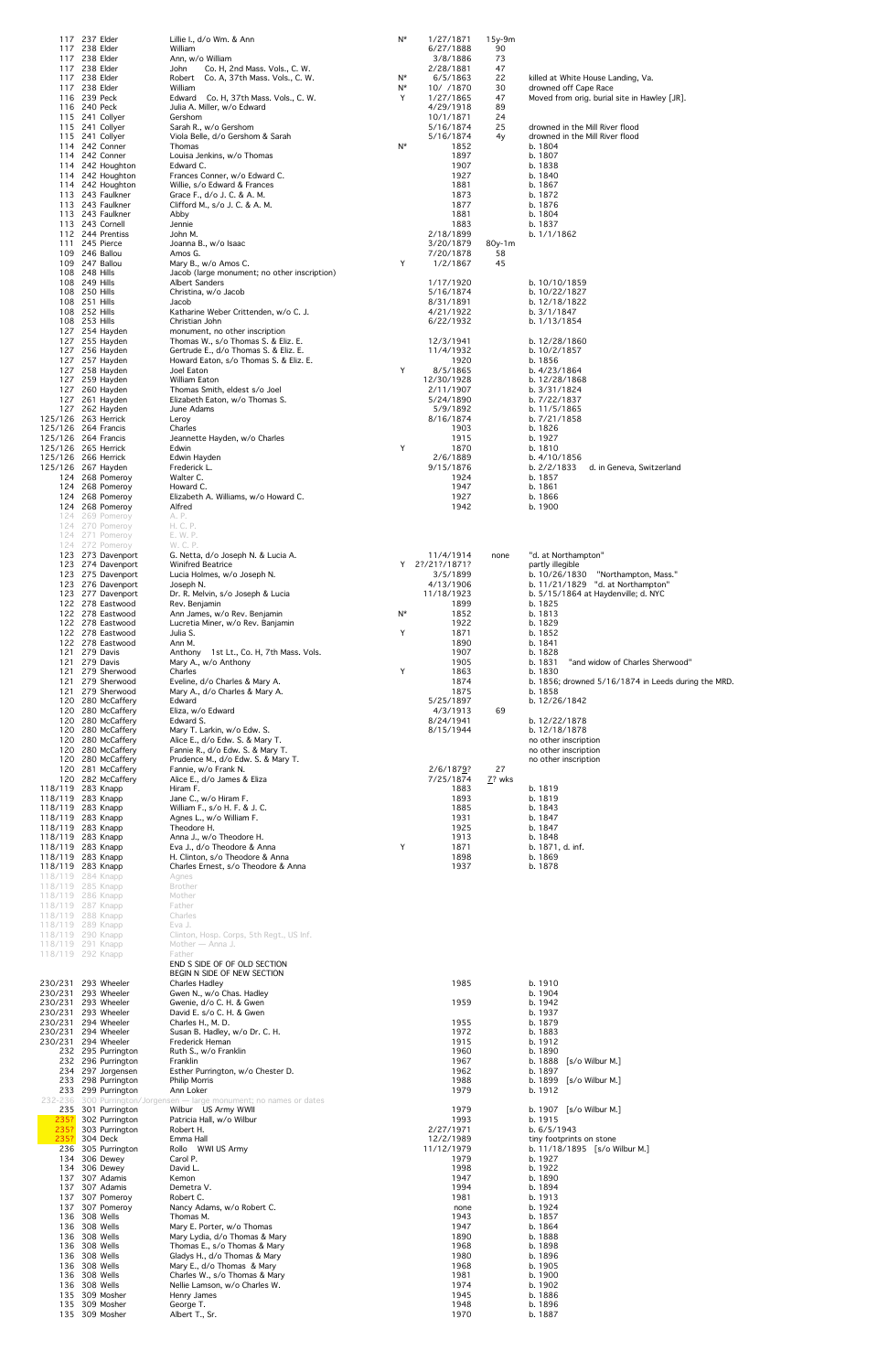|                                            | 117 237 Elder<br>117 238 Elder     |                                          | Lillie I., d/o Wm. & Ann<br>William                                          | N*      | 1/27/1871<br>6/27/1888 | 15y-9m<br>90   |                                                                              |
|--------------------------------------------|------------------------------------|------------------------------------------|------------------------------------------------------------------------------|---------|------------------------|----------------|------------------------------------------------------------------------------|
|                                            | 117 238 Elder<br>117 238 Elder     |                                          | Ann, w/o William<br>Co. H, 2nd Mass. Vols., C. W.                            |         | 3/8/1886<br>2/28/1881  | 73<br>47       |                                                                              |
|                                            | 117 238 Elder                      |                                          | John<br>Robert Co. A, 37th Mass. Vols., C. W.                                | N*      | 6/5/1863               | 22             | killed at White House Landing, Va.                                           |
|                                            | 117 238 Elder<br>116 239 Peck      |                                          | William<br>Edward Co. H, 37th Mass. Vols., C. W.                             | N*<br>Y | 10/ /1870<br>1/27/1865 | 30<br>47       | drowned off Cape Race<br>Moved from orig. burial site in Hawley [JR].        |
|                                            | 116 240 Peck                       |                                          | Julia A. Miller, w/o Edward                                                  |         | 4/29/1918              | 89             |                                                                              |
|                                            | 115 241 Collyer<br>115 241 Collyer |                                          | Gershom<br>Sarah R., w/o Gershom                                             |         | 10/1/1871<br>5/16/1874 | 24<br>25       | drowned in the Mill River flood                                              |
|                                            | 115 241 Collyer<br>114 242 Conner  |                                          | Viola Belle, d/o Gershom & Sarah<br>Thomas                                   | N*      | 5/16/1874<br>1852      | 4y             | drowned in the Mill River flood<br>b. 1804                                   |
|                                            | 114 242 Conner                     |                                          | Louisa Jenkins, w/o Thomas                                                   |         | 1897                   |                | b. 1807                                                                      |
|                                            |                                    | 114 242 Houghton<br>114 242 Houghton     | Edward C.<br>Frances Conner, w/o Edward C.                                   |         | 1907<br>1927           |                | b. 1838<br>b. 1840                                                           |
|                                            |                                    | 114 242 Houghton                         | Willie, s/o Edward & Frances<br>Grace F., d/o J. C. & A. M.                  |         | 1881                   |                | b. 1867<br>b. 1872                                                           |
|                                            |                                    | 113 243 Faulkner<br>113 243 Faulkner     | Clifford M., s/o J. C. & A. M.                                               |         | 1873<br>1877           |                | b. 1876                                                                      |
|                                            | 113 243 Cornell                    | 113 243 Faulkner                         | Abby<br>Jennie                                                               |         | 1881<br>1883           |                | b. 1804<br>b. 1837                                                           |
|                                            |                                    | 112 244 Prentiss                         | John M.                                                                      |         | 2/18/1899              |                | b. 1/1/1862                                                                  |
|                                            | 111 245 Pierce<br>109 246 Ballou   |                                          | Joanna B., w/o Isaac<br>Amos G.                                              |         | 3/20/1879<br>7/20/1878 | $80y-1m$<br>58 |                                                                              |
|                                            | 109 247 Ballou<br>108 248 Hills    |                                          | Mary B., w/o Amos C.<br>Jacob (large monument; no other inscription)         | Y       | 1/2/1867               | 45             |                                                                              |
|                                            | 108 249 Hills                      |                                          | <b>Albert Sanders</b>                                                        |         | 1/17/1920              |                | b. 10/10/1859                                                                |
|                                            | 108 250 Hills<br>108 251 Hills     |                                          | Christina, w/o Jacob<br>Jacob                                                |         | 5/16/1874<br>8/31/1891 |                | b. 10/22/1827<br>b. 12/18/1822                                               |
|                                            | 108 252 Hills                      |                                          | Katharine Weber Crittenden, w/o C. J.                                        |         | 4/21/1922              |                | b. 3/1/1847                                                                  |
|                                            | 108 253 Hills<br>127 254 Hayden    |                                          | Christian John<br>monument, no other inscription                             |         | 6/22/1932              |                | b. 1/13/1854                                                                 |
|                                            | 127 255 Hayden<br>127 256 Hayden   |                                          | Thomas W., s/o Thomas S. & Eliz. E.<br>Gertrude E., d/o Thomas S. & Eliz. E. |         | 12/3/1941<br>11/4/1932 |                | b. 12/28/1860<br>b. 10/2/1857                                                |
|                                            | 127 257 Hayden                     |                                          | Howard Eaton, s/o Thomas S. & Eliz. E.                                       |         | 1920                   |                | b. 1856                                                                      |
|                                            | 127 258 Hayden<br>127 259 Hayden   |                                          | Joel Eaton<br>William Eaton                                                  | Y       | 8/5/1865<br>12/30/1928 |                | b. 4/23/1864<br>b. 12/28/1868                                                |
|                                            | 127 260 Hayden<br>127 261 Hayden   |                                          | Thomas Smith, eldest s/o Joel<br>Elizabeth Eaton, w/o Thomas S.              |         | 2/11/1907<br>5/24/1890 |                | b. 3/31/1824<br>b. 7/22/1837                                                 |
|                                            | 127 262 Hayden                     |                                          | June Adams                                                                   |         | 5/9/1892               |                | b. 11/5/1865                                                                 |
| 125/126 263 Herrick<br>125/126 264 Francis |                                    |                                          | Leroy<br>Charles                                                             |         | 8/16/1874<br>1903      |                | b. 7/21/1858<br>b. 1826                                                      |
| 125/126 264 Francis                        |                                    |                                          | Jeannette Hayden, w/o Charles                                                |         | 1915                   |                | b. 1927                                                                      |
| 125/126 265 Herrick<br>125/126 266 Herrick |                                    |                                          | Edwin<br>Edwin Hayden                                                        | Y       | 1870<br>2/6/1889       |                | b. 1810<br>b. 4/10/1856                                                      |
| 125/126 267 Hayden                         |                                    | 124 268 Pomeroy                          | Frederick L.<br>Walter C.                                                    |         | 9/15/1876<br>1924      |                | b. 2/2/1833<br>d. in Geneva, Switzerland<br>b. 1857                          |
|                                            |                                    | 124 268 Pomeroy                          | Howard C.                                                                    |         | 1947                   |                | b. 1861                                                                      |
|                                            |                                    | 124 268 Pomeroy<br>124 268 Pomeroy       | Elizabeth A. Williams, w/o Howard C.<br>Alfred                               |         | 1927<br>1942           |                | b. 1866<br>b. 1900                                                           |
|                                            |                                    | 124 269 Pomeroy                          | A. P.                                                                        |         |                        |                |                                                                              |
|                                            |                                    | 124 270 Pomeroy<br>124 271 Pomeroy       | H. C. P.<br>E. W. P.                                                         |         |                        |                |                                                                              |
|                                            |                                    | 124 272 Pomeroy<br>123 273 Davenport     | W. C. P.<br>G. Netta, d/o Joseph N. & Lucia A.                               |         | 11/4/1914              | none           | "d. at Northampton"                                                          |
|                                            |                                    | 123 274 Davenport                        | <b>Winifred Beatrice</b>                                                     |         | Y 2?/21?/1871?         |                | partly illegible                                                             |
|                                            |                                    | 123 275 Davenport<br>123 276 Davenport   | Lucia Holmes, w/o Joseph N.<br>Joseph N.                                     |         | 3/5/1899<br>4/13/1906  |                | "Northampton, Mass."<br>b. 10/26/1830<br>b. $11/21/1829$ "d. at Northampton" |
|                                            |                                    | 123 277 Davenport                        | Dr. R. Melvin, s/o Joseph & Lucia                                            |         | 11/18/1923             |                | b. $5/15/1864$ at Haydenville; d. NYC                                        |
|                                            |                                    | 122 278 Eastwood<br>122 278 Eastwood     | Rev. Benjamin<br>Ann James, w/o Rev. Benjamin                                | N*      | 1899<br>1852           |                | b. 1825<br>b. 1813                                                           |
|                                            |                                    | 122 278 Eastwood<br>122 278 Eastwood     | Lucretia Miner, w/o Rev. Banjamin<br>Julia S.                                | Y       | 1922<br>1871           |                | b. 1829<br>b. 1852                                                           |
|                                            |                                    | 122 278 Eastwood                         | Ann M.                                                                       |         | 1890                   |                | b. 1841                                                                      |
|                                            | 121 279 Davis<br>121 279 Davis     |                                          | Anthony 1st Lt., Co. H, 7th Mass. Vols.<br>Mary A., w/o Anthony              |         | 1907<br>1905           |                | b. 1828<br>b. 1831<br>"and widow of Charles Sherwood"                        |
|                                            |                                    | 121 279 Sherwood<br>121 279 Sherwood     | Charles<br>Eveline, d/o Charles & Mary A.                                    | Y       | 1863<br>1874           |                | b. 1830                                                                      |
|                                            |                                    | 121 279 Sherwood                         | Mary A., d/o Charles & Mary A.                                               |         | 1875                   |                | b. 1856; drowned 5/16/1874 in Leeds during the MRD.<br>b. 1858               |
|                                            |                                    | 120 280 McCaffery<br>120 280 McCaffery   | Edward<br>Eliza, w/o Edward                                                  |         | 5/25/1897<br>4/3/1913  | 69             | b. 12/26/1842                                                                |
|                                            |                                    | 120 280 McCaffery                        | Edward S.                                                                    |         | 8/24/1941              |                | b. 12/22/1878                                                                |
|                                            |                                    | 120 280 McCaffery<br>120 280 McCaffery   | Mary T. Larkin, w/o Edw. S.<br>Alice E., d/o Edw. S. & Mary T.               |         | 8/15/1944              |                | b. 12/18/1878<br>no other inscription                                        |
|                                            |                                    | 120 280 McCaffery<br>120 280 McCaffery   | Fannie R., d/o Edw. S. & Mary T.<br>Prudence M., d/o Edw. S. & Mary T.       |         |                        |                | no other inscription<br>no other inscription                                 |
|                                            |                                    | 120 281 McCaffery                        | Fannie, w/o Frank N.                                                         |         | 2/6/1879?              | 27             |                                                                              |
| 118/119 283 Knapp                          |                                    | 120 282 McCaffery                        | Alice E., d/o James & Eliza<br>Hiram F.                                      |         | 7/25/1874<br>1883      | 7? wks         | b. 1819                                                                      |
| 118/119 283 Knapp                          |                                    |                                          | Jane C., w/o Hiram F.                                                        |         | 1893<br>1885           |                | b. 1819                                                                      |
| 118/119 283 Knapp<br>118/119 283 Knapp     |                                    |                                          | William F., s/o H. F. & J. C.<br>Agnes L., w/o William F.                    |         | 1931                   |                | b. 1843<br>b. 1847                                                           |
| 118/119 283 Knapp<br>118/119 283 Knapp     |                                    |                                          | Theodore H.<br>Anna J., w/o Theodore H.                                      |         | 1925<br>1913           |                | b. 1847<br>b. 1848                                                           |
| 118/119 283 Knapp                          |                                    |                                          | Eva J., d/o Theodore & Anna                                                  | Y       | 1871                   |                | b. 1871, d. inf.                                                             |
| 118/119 283 Knapp<br>118/119 283 Knapp     |                                    |                                          | H. Clinton, s/o Theodore & Anna<br>Charles Ernest, s/o Theodore & Anna       |         | 1898<br>1937           |                | b. 1869<br>b. 1878                                                           |
| 118/119 284 Knapp<br>118/119 285 Knapp     |                                    |                                          | Agnes<br><b>Brother</b>                                                      |         |                        |                |                                                                              |
| 118/119 286 Knapp                          |                                    |                                          | Mother                                                                       |         |                        |                |                                                                              |
| 118/119 287 Knapp<br>118/119 288 Knapp     |                                    |                                          | Father<br>Charles                                                            |         |                        |                |                                                                              |
| 118/119 289 Knapp<br>118/119 290 Knapp     |                                    |                                          | Eva J.<br>Clinton, Hosp. Corps, 5th Regt., US Inf.                           |         |                        |                |                                                                              |
| 118/119 291 Knapp                          |                                    |                                          | Mother - Anna J.                                                             |         |                        |                |                                                                              |
| 118/119 292 Knapp                          |                                    |                                          | Father<br>END S SIDE OF OF OLD SECTION                                       |         |                        |                |                                                                              |
|                                            |                                    |                                          | BEGIN N SIDE OF NEW SECTION                                                  |         |                        |                |                                                                              |
| 230/231 293 Wheeler<br>230/231 293 Wheeler |                                    |                                          | <b>Charles Hadley</b><br>Gwen N., w/o Chas. Hadley                           |         | 1985                   |                | b. 1910<br>b. 1904                                                           |
| 230/231 293 Wheeler<br>230/231 293 Wheeler |                                    |                                          | Gwenie, d/o C. H. & Gwen<br>David E. s/o C. H. & Gwen                        |         | 1959                   |                | b. 1942<br>b. 1937                                                           |
| 230/231 294 Wheeler                        |                                    |                                          | Charles H., M. D.                                                            |         | 1955                   |                | b. 1879                                                                      |
| 230/231 294 Wheeler<br>230/231 294 Wheeler |                                    |                                          | Susan B. Hadley, w/o Dr. C. H.<br>Frederick Heman                            |         | 1972<br>1915           |                | b. 1883<br>b. 1912                                                           |
|                                            |                                    | 232 295 Purrington<br>232 296 Purrington | Ruth S., w/o Franklin<br>Franklin                                            |         | 1960<br>1967           |                | b. 1890<br>b. 1888 [s/o Wilbur M.]                                           |
|                                            |                                    | 234 297 Jorgensen                        | Esther Purrington, w/o Chester D.                                            |         | 1962                   |                | b. 1897                                                                      |
|                                            |                                    | 233 298 Purrington<br>233 299 Purrington | <b>Philip Morris</b><br>Ann Loker                                            |         | 1988<br>1979           |                | b. 1899 [s/o Wilbur M.]<br>b. 1912                                           |
|                                            |                                    |                                          | 232-236 300 Purrington/Jorgensen - large monument; no names or dates         |         |                        |                |                                                                              |
| 235?                                       |                                    | 235 301 Purrington<br>302 Purrington     | Wilbur US Army WWII<br>Patricia Hall, w/o Wilbur                             |         | 1979<br>1993           |                | b. 1907 [s/o Wilbur M.]<br>b. 1915                                           |
|                                            | 235? 304 Deck                      | 235? 303 Purrington                      | Robert H.<br>Emma Hall                                                       |         | 2/27/1971<br>12/2/1989 |                | b. 6/5/1943<br>tiny footprints on stone                                      |
|                                            |                                    | 236 305 Purrington                       | Rollo WWI US Army                                                            |         | 11/12/1979             |                | b. $11/18/1895$ [s/o Wilbur M.]                                              |
|                                            | 134 306 Dewey<br>134 306 Dewey     |                                          | Carol P.<br>David L.                                                         |         | 1979<br>1998           |                | b. 1927<br>b. 1922                                                           |
|                                            | 137 307 Adamis<br>137 307 Adamis   |                                          | Kemon<br>Demetra V.                                                          |         | 1947<br>1994           |                | b. 1890<br>b. 1894                                                           |
|                                            |                                    | 137 307 Pomeroy                          | Robert C.                                                                    |         | 1981                   |                | b. 1913                                                                      |
|                                            | 136 308 Wells                      | 137 307 Pomeroy                          | Nancy Adams, w/o Robert C.<br>Thomas M.                                      |         | none<br>1943           |                | b. 1924<br>b. 1857                                                           |
|                                            | 136 308 Wells                      |                                          | Mary E. Porter, w/o Thomas                                                   |         | 1947                   |                | b. 1864                                                                      |
|                                            | 136 308 Wells<br>136 308 Wells     |                                          | Mary Lydia, d/o Thomas & Mary<br>Thomas E., s/o Thomas & Mary                |         | 1890<br>1968           |                | b. 1888<br>b. 1898                                                           |
|                                            | 136 308 Wells<br>136 308 Wells     |                                          | Gladys H., d/o Thomas & Mary<br>Mary E., d/o Thomas & Mary                   |         | 1980<br>1968           |                | b. 1896<br>b. 1905                                                           |
|                                            | 136 308 Wells                      |                                          | Charles W., s/o Thomas & Mary                                                |         | 1981                   |                | b. 1900                                                                      |
|                                            | 136 308 Wells<br>135 309 Mosher    |                                          | Nellie Lamson, w/o Charles W.<br>Henry James                                 |         | 1974<br>1945           |                | b. 1902<br>b. 1886                                                           |
|                                            | 135 309 Mosher<br>135 309 Mosher   |                                          | George T.<br>Albert T., Sr.                                                  |         | 1948<br>1970           |                | b. 1896<br>b. 1887                                                           |
|                                            |                                    |                                          |                                                                              |         |                        |                |                                                                              |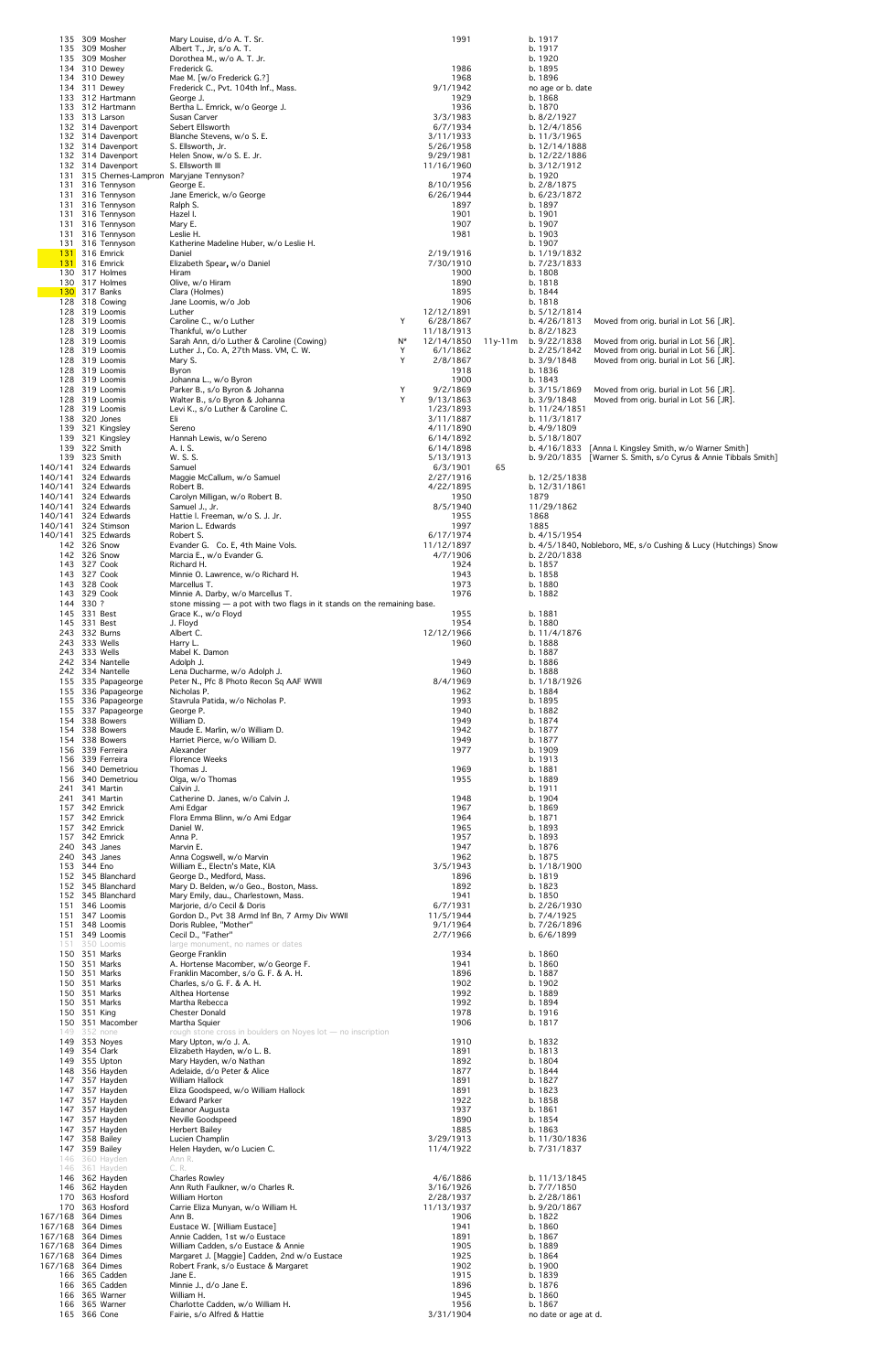|                                            | 135 309 Mosher<br>135 309 Mosher             | Mary Louise, d/o A. T. Sr.<br>Albert T., Jr, s/o A. T.                                            |        |                          | 1991         |         | b. 1917<br>b. 1917              |                                                                                    |
|--------------------------------------------|----------------------------------------------|---------------------------------------------------------------------------------------------------|--------|--------------------------|--------------|---------|---------------------------------|------------------------------------------------------------------------------------|
|                                            | 135 309 Mosher<br>134 310 Dewey              | Dorothea M., w/o A. T. Jr.<br>Frederick G.                                                        |        |                          | 1986         |         | b. 1920<br>b. 1895              |                                                                                    |
|                                            | 134 310 Dewey<br>134 311 Dewey               | Mae M. [w/o Frederick G.?]<br>Frederick C., Pvt. 104th Inf., Mass.                                |        | 9/1/1942                 | 1968         |         | b. 1896<br>no age or b. date    |                                                                                    |
|                                            | 133 312 Hartmann<br>133 312 Hartmann         | George J.<br>Bertha L. Emrick, w/o George J.                                                      |        |                          | 1929<br>1936 |         | b. 1868<br>b. 1870              |                                                                                    |
|                                            | 133 313 Larson                               | Susan Carver                                                                                      |        | 3/3/1983                 |              |         | b. 8/2/1927                     |                                                                                    |
|                                            | 132 314 Davenport<br>132 314 Davenport       | Sebert Ellsworth<br>Blanche Stevens, w/o S. E.                                                    |        | 6/7/1934<br>3/11/1933    |              |         | b. 12/4/1856<br>b. 11/3/1965    |                                                                                    |
|                                            | 132 314 Davenport<br>132 314 Davenport       | S. Ellsworth, Jr.<br>Helen Snow, w/o S. E. Jr.                                                    |        | 5/26/1958<br>9/29/1981   |              |         | b. 12/14/1888<br>b. 12/22/1886  |                                                                                    |
|                                            | 132 314 Davenport<br>131 315 Chernes-Lampron | S. Ellsworth III<br>Maryjane Tennyson?                                                            |        | 11/16/1960               | 1974         |         | b. 3/12/1912<br>b. 1920         |                                                                                    |
|                                            | 131 316 Tennyson<br>131 316 Tennyson         | George E.<br>Jane Emerick, w/o George                                                             |        | 8/10/1956<br>6/26/1944   |              |         | b. 2/8/1875<br>b. 6/23/1872     |                                                                                    |
|                                            | 131 316 Tennyson<br>131 316 Tennyson         | Ralph S.<br>Hazel I.                                                                              |        |                          | 1897<br>1901 |         | b. 1897<br>b. 1901              |                                                                                    |
|                                            | 131 316 Tennyson<br>131 316 Tennyson         | Mary E.<br>Leslie H.                                                                              |        |                          | 1907<br>1981 |         | b. 1907<br>b. 1903              |                                                                                    |
|                                            | 131 316 Tennyson<br><b>131</b> 316 Emrick    | Katherine Madeline Huber, w/o Leslie H.<br>Daniel                                                 |        | 2/19/1916                |              |         | b. 1907<br>b. 1/19/1832         |                                                                                    |
|                                            | <b>131</b> 316 Emrick<br>130 317 Holmes      | Elizabeth Spear, w/o Daniel                                                                       |        | 7/30/1910                |              |         | b. 7/23/1833                    |                                                                                    |
|                                            | 130 317 Holmes                               | Hiram<br>Olive, w/o Hiram                                                                         |        |                          | 1900<br>1890 |         | b. 1808<br>b. 1818              |                                                                                    |
|                                            | <b>130</b> 317 Banks<br>128 318 Cowing       | Clara (Holmes)<br>Jane Loomis, w/o Job                                                            |        |                          | 1895<br>1906 |         | b. 1844<br>b. 1818              |                                                                                    |
|                                            | 128 319 Loomis<br>128 319 Loomis             | Luther<br>Caroline C., w/o Luther                                                                 | Y      | 12/12/1891<br>6/28/1867  |              |         | b. 5/12/1814<br>b. 4/26/1813    | Moved from orig. burial in Lot 56 [JR].                                            |
|                                            | 128 319 Loomis<br>128 319 Loomis             | Thankful, w/o Luther<br>Sarah Ann, d/o Luther & Caroline (Cowing)                                 | N*     | 11/18/1913<br>12/14/1850 |              | 11y-11m | b. 8/2/1823<br>b. 9/22/1838     | Moved from orig. burial in Lot 56 [JR].                                            |
|                                            | 128 319 Loomis<br>128 319 Loomis             | Luther J., Co. A, 27th Mass. VM, C. W.<br>Mary S.                                                 | Y<br>Y | 6/1/1862<br>2/8/1867     |              |         | b. 2/25/1842<br>b. 3/9/1848     | Moved from orig. burial in Lot 56 [JR].<br>Moved from orig. burial in Lot 56 [JR]. |
|                                            | 128 319 Loomis<br>128 319 Loomis             | Byron<br>Johanna L., w/o Byron                                                                    |        |                          | 1918<br>1900 |         | b. 1836<br>b. 1843              |                                                                                    |
|                                            | 128 319 Loomis<br>128 319 Loomis             | Parker B., s/o Byron & Johanna<br>Walter B., s/o Byron & Johanna                                  | Y<br>Y | 9/2/1869<br>9/13/1863    |              |         | b. $3/15/1869$<br>b. 3/9/1848   | Moved from orig. burial in Lot 56 [JR].<br>Moved from orig. burial in Lot 56 [JR]. |
|                                            | 128 319 Loomis<br>138 320 Jones              | Levi K., s/o Luther & Caroline C.<br>Eli                                                          |        | 1/23/1893<br>3/11/1887   |              |         | b. 11/24/1851<br>b. 11/3/1817   |                                                                                    |
|                                            | 139 321 Kingsley                             | Sereno                                                                                            |        | 4/11/1890<br>6/14/1892   |              |         | b. 4/9/1809<br>b. 5/18/1807     |                                                                                    |
|                                            | 139 321 Kingsley<br>139 322 Smith            | Hannah Lewis, w/o Sereno<br>A. I. S.                                                              |        | 6/14/1898                |              |         |                                 | b. 4/16/1833 [Anna I. Kingsley Smith, w/o Warner Smith]                            |
| 140/141 324 Edwards                        | 139 323 Smith                                | W. S. S.<br>Samuel                                                                                |        | 5/13/1913<br>6/3/1901    |              | 65      |                                 | b. 9/20/1835 [Warner S. Smith, s/o Cyrus & Annie Tibbals Smith]                    |
| 140/141 324 Edwards<br>140/141 324 Edwards |                                              | Maggie McCallum, w/o Samuel<br>Robert B.                                                          |        | 2/27/1916<br>4/22/1895   |              |         | b. 12/25/1838<br>b. 12/31/1861  |                                                                                    |
| 140/141 324 Edwards<br>140/141 324 Edwards |                                              | Carolyn Milligan, w/o Robert B.<br>Samuel J., Jr.                                                 |        | 8/5/1940                 | 1950         |         | 1879<br>11/29/1862              |                                                                                    |
| 140/141 324 Edwards<br>140/141 324 Stimson |                                              | Hattie I. Freeman, w/o S. J. Jr.<br>Marion L. Edwards                                             |        |                          | 1955<br>1997 |         | 1868<br>1885                    |                                                                                    |
| 140/141 325 Edwards                        | 142 326 Snow                                 | Robert S.<br>Evander G. Co. E, 4th Maine Vols.                                                    |        | 6/17/1974<br>11/12/1897  |              |         | b. 4/15/1954                    | b. 4/5/1840, Nobleboro, ME, s/o Cushing & Lucy (Hutchings) Snow                    |
|                                            | 142 326 Snow<br>143 327 Cook                 | Marcia E., w/o Evander G.<br>Richard H.                                                           |        | 4/7/1906                 | 1924         |         | b. 2/20/1838<br>b. 1857         |                                                                                    |
|                                            | 143 327 Cook                                 | Minnie O. Lawrence, w/o Richard H.                                                                |        |                          | 1943         |         | b. 1858                         |                                                                                    |
|                                            | 143 328 Cook<br>143 329 Cook                 | Marcellus T.<br>Minnie A. Darby, w/o Marcellus T.                                                 |        |                          | 1973<br>1976 |         | b. 1880<br>b. 1882              |                                                                                    |
| 144 330 ?                                  | 145 331 Best                                 | stone missing $-$ a pot with two flags in it stands on the remaining base.<br>Grace K., w/o Floyd |        |                          | 1955         |         | b. 1881                         |                                                                                    |
|                                            | 145 331 Best<br>243 332 Burns                | J. Floyd<br>Albert C.                                                                             |        | 12/12/1966               | 1954         |         | b. 1880<br>b. 11/4/1876         |                                                                                    |
|                                            | 243 333 Wells<br>243 333 Wells               | Harry L.<br>Mabel K. Damon                                                                        |        |                          | 1960         |         | b. 1888<br>b. 1887              |                                                                                    |
|                                            | 242 334 Nantelle<br>242 334 Nantelle         | Adolph J.<br>Lena Ducharme, w/o Adolph J.                                                         |        |                          | 1949<br>1960 |         | b. 1886<br>b. 1888              |                                                                                    |
|                                            | 155 335 Papageorge<br>155 336 Papageorge     | Peter N., Pfc 8 Photo Recon Sq AAF WWII<br>Nicholas P.                                            |        | 8/4/1969                 | 1962         |         | b. 1/18/1926<br>b. 1884         |                                                                                    |
|                                            | 155 336 Papageorge<br>155 337 Papageorge     | Stavrula Patida, w/o Nicholas P.<br>George P.                                                     |        |                          | 1993<br>1940 |         | b. 1895<br>b. 1882              |                                                                                    |
|                                            | 154 338 Bowers<br>154 338 Bowers             | William D.<br>Maude E. Marlin, w/o William D.                                                     |        |                          | 1949<br>1942 |         | b. 1874<br>b. 1877              |                                                                                    |
|                                            | 154 338 Bowers                               | Harriet Pierce, w/o William D.                                                                    |        |                          | 1949         |         | b. 1877                         |                                                                                    |
|                                            | 156 339 Ferreira<br>156 339 Ferreira         | Alexander<br>Florence Weeks                                                                       |        |                          | 1977         |         | b. 1909<br>b. 1913              |                                                                                    |
|                                            | 156 340 Demetriou<br>156 340 Demetriou       | Thomas J.<br>Olga, w/o Thomas                                                                     |        |                          | 1969<br>1955 |         | b. 1881<br>b. 1889              |                                                                                    |
|                                            | 241 341 Martin<br>241 341 Martin             | Calvin J.<br>Catherine D. Janes, w/o Calvin J.                                                    |        |                          | 1948         |         | b. 1911<br>b. 1904              |                                                                                    |
|                                            | 157 342 Emrick<br>157 342 Emrick             | Ami Edgar<br>Flora Emma Blinn, w/o Ami Edgar                                                      |        |                          | 1967<br>1964 |         | b. 1869<br>b. 1871              |                                                                                    |
|                                            | 157 342 Emrick<br>157 342 Emrick             | Daniel W.<br>Anna P.                                                                              |        |                          | 1965<br>1957 |         | b. 1893<br>b. 1893              |                                                                                    |
|                                            | 240 343 Janes<br>240 343 Janes               | Marvin E.<br>Anna Cogswell, w/o Marvin                                                            |        |                          | 1947<br>1962 |         | b. 1876<br>b. 1875              |                                                                                    |
| 153 344 Eno                                | 152 345 Blanchard                            | William E., Electn's Mate, KIA<br>George D., Medford, Mass.                                       |        | 3/5/1943                 | 1896         |         | b. $1/18/1900$<br>b. 1819       |                                                                                    |
|                                            | 152 345 Blanchard<br>152 345 Blanchard       | Mary D. Belden, w/o Geo., Boston, Mass.<br>Mary Emily, dau., Charlestown, Mass.                   |        |                          | 1892<br>1941 |         | b. 1823<br>b. 1850              |                                                                                    |
|                                            | 151 346 Loomis                               | Marjorie, d/o Cecil & Doris                                                                       |        | 6/7/1931                 |              |         | b. 2/26/1930                    |                                                                                    |
|                                            | 151 347 Loomis<br>151 348 Loomis             | Gordon D., Pvt 38 Armd Inf Bn, 7 Army Div WWII<br>Doris Rublee, "Mother"                          |        | 11/5/1944<br>9/1/1964    |              |         | b. 7/4/1925<br>b. 7/26/1896     |                                                                                    |
|                                            | 151 349 Loomis<br>151 350 Loomis             | Cecil D., "Father"<br>large monument, no names or dates                                           |        | 2/7/1966                 |              |         | b. 6/6/1899                     |                                                                                    |
|                                            | 150 351 Marks<br>150 351 Marks               | George Franklin<br>A. Hortense Macomber, w/o George F.                                            |        |                          | 1934<br>1941 |         | b. 1860<br>b. 1860              |                                                                                    |
|                                            | 150 351 Marks<br>150 351 Marks               | Franklin Macomber, s/o G. F. & A. H.<br>Charles, s/o G. F. & A. H.                                |        |                          | 1896<br>1902 |         | b. 1887<br>b. 1902              |                                                                                    |
|                                            | 150 351 Marks<br>150 351 Marks               | Althea Hortense<br>Martha Rebecca                                                                 |        |                          | 1992<br>1992 |         | b. 1889<br>b. 1894              |                                                                                    |
|                                            | 150 351 King<br>150 351 Macomber             | <b>Chester Donald</b><br>Martha Squier                                                            |        |                          | 1978<br>1906 |         | b. 1916<br>b. 1817              |                                                                                    |
|                                            | 149 352 none<br>149 353 Noyes                | rough stone cross in boulders on Noyes lot - no inscription<br>Mary Upton, w/o J. A.              |        |                          | 1910         |         | b. 1832                         |                                                                                    |
|                                            | 149 354 Clark<br>149 355 Upton               | Elizabeth Hayden, w/o L. B.<br>Mary Hayden, w/o Nathan                                            |        |                          | 1891<br>1892 |         | b. 1813<br>b. 1804              |                                                                                    |
|                                            | 148 356 Hayden<br>147 357 Hayden             | Adelaide, d/o Peter & Alice<br><b>William Hallock</b>                                             |        |                          | 1877<br>1891 |         | b. 1844<br>b. 1827              |                                                                                    |
|                                            | 147 357 Hayden<br>147 357 Hayden             | Eliza Goodspeed, w/o William Hallock<br>Edward Parker                                             |        |                          | 1891<br>1922 |         | b. 1823<br>b. 1858              |                                                                                    |
|                                            | 147 357 Hayden                               | Eleanor Augusta                                                                                   |        |                          | 1937<br>1890 |         | b. 1861                         |                                                                                    |
|                                            | 147 357 Hayden<br>147 357 Hayden             | Neville Goodspeed<br>Herbert Bailey                                                               |        |                          | 1885         |         | b. 1854<br>b. 1863              |                                                                                    |
|                                            | 147 358 Bailey<br>147 359 Bailey             | Lucien Champlin<br>Helen Hayden, w/o Lucien C.                                                    |        | 3/29/1913<br>11/4/1922   |              |         | b. 11/30/1836<br>b. 7/31/1837   |                                                                                    |
|                                            | 146 360 Hayden<br>146 361 Hayden             | Ann R.<br>C. R.                                                                                   |        |                          |              |         |                                 |                                                                                    |
|                                            | 146 362 Hayden<br>146 362 Hayden             | <b>Charles Rowley</b><br>Ann Ruth Faulkner, w/o Charles R.                                        |        | 4/6/1886<br>3/16/1926    |              |         | b. 11/13/1845<br>b. 7/7/1850    |                                                                                    |
|                                            | 170 363 Hosford<br>170 363 Hosford           | William Horton<br>Carrie Eliza Munyan, w/o William H.                                             |        | 2/28/1937<br>11/13/1937  |              |         | b. 2/28/1861<br>b. 9/20/1867    |                                                                                    |
| 167/168 364 Dimes<br>167/168 364 Dimes     |                                              | Ann B.<br>Eustace W. [William Eustace]                                                            |        |                          | 1906<br>1941 |         | b. 1822<br>b. 1860              |                                                                                    |
| 167/168 364 Dimes<br>167/168 364 Dimes     |                                              | Annie Cadden, 1st w/o Eustace<br>William Cadden, s/o Eustace & Annie                              |        |                          | 1891<br>1905 |         | b. 1867<br>b. 1889              |                                                                                    |
| 167/168 364 Dimes<br>167/168 364 Dimes     |                                              | Margaret J. [Maggie] Cadden, 2nd w/o Eustace<br>Robert Frank, s/o Eustace & Margaret              |        |                          | 1925<br>1902 |         | b. 1864<br>b. 1900              |                                                                                    |
|                                            | 166 365 Cadden<br>166 365 Cadden             | Jane E.<br>Minnie J., d/o Jane E.                                                                 |        |                          | 1915<br>1896 |         | b. 1839<br>b. 1876              |                                                                                    |
|                                            | 166 365 Warner                               | William H.                                                                                        |        |                          | 1945         |         | b. 1860                         |                                                                                    |
|                                            | 166 365 Warner<br>165 366 Cone               | Charlotte Cadden, w/o William H.<br>Fairie, s/o Alfred & Hattie                                   |        | 3/31/1904                | 1956         |         | b. 1867<br>no date or age at d. |                                                                                    |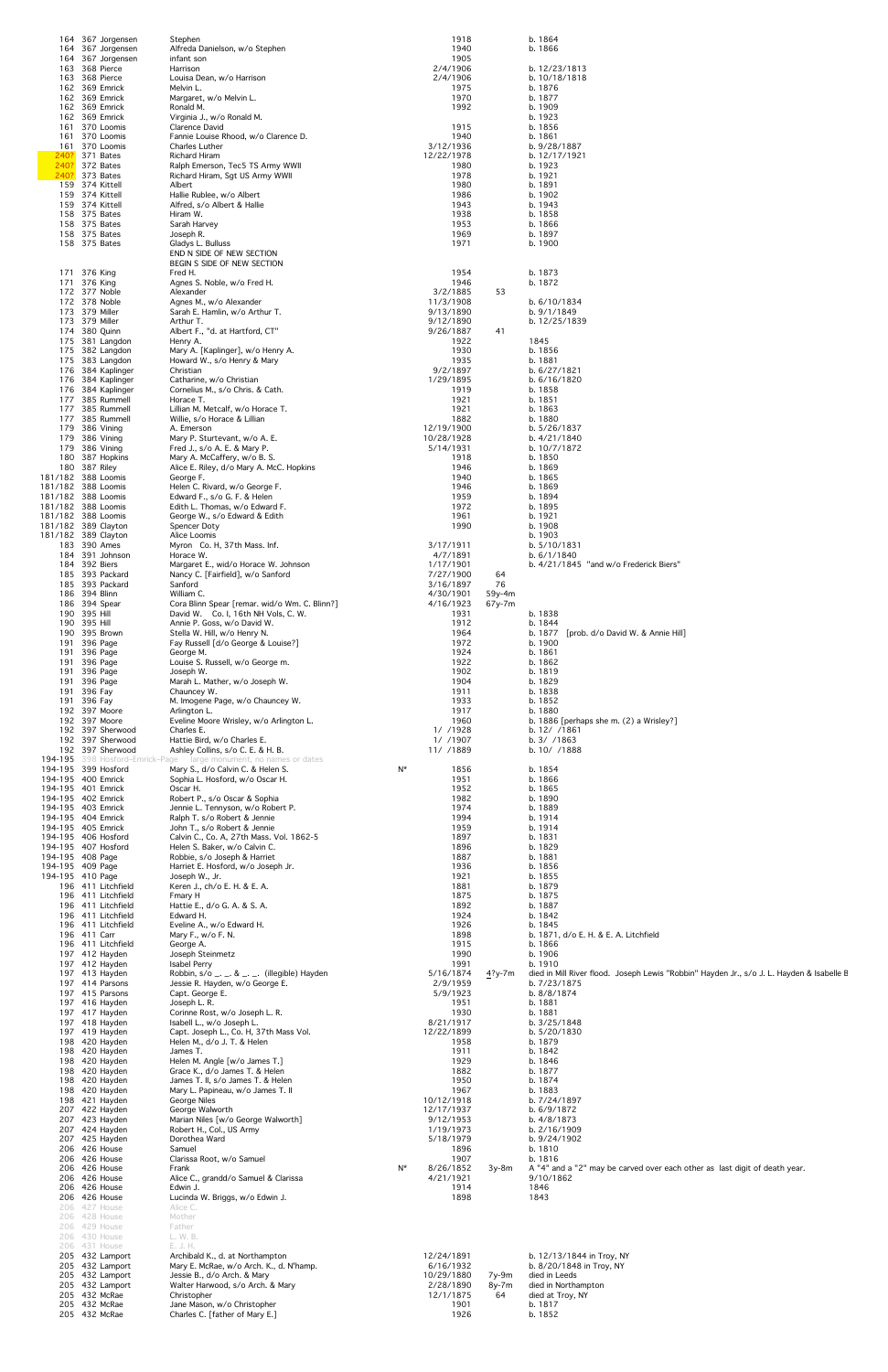|                                            |              | 164 367 Jorgensen<br>164 367 Jorgensen              | Stephen<br>Alfreda Danielson, w/o Stephen                                                                                                    |       | 1918<br>1940                  |                  | b. 1864<br>b. 1866                                                                                                   |
|--------------------------------------------|--------------|-----------------------------------------------------|----------------------------------------------------------------------------------------------------------------------------------------------|-------|-------------------------------|------------------|----------------------------------------------------------------------------------------------------------------------|
|                                            |              | 164 367 Jorgensen<br>163 368 Pierce                 | infant son<br>Harrison                                                                                                                       |       | 1905<br>2/4/1906              |                  | b. 12/23/1813                                                                                                        |
|                                            |              | 163 368 Pierce<br>162 369 Emrick                    | Louisa Dean, w/o Harrison<br>Melvin L.                                                                                                       |       | 2/4/1906<br>1975<br>1970      |                  | b. 10/18/1818<br>b. 1876                                                                                             |
|                                            |              | 162 369 Emrick<br>162 369 Emrick<br>162 369 Emrick  | Margaret, w/o Melvin L.<br>Ronald M.<br>Virginia J., w/o Ronald M.                                                                           |       | 1992                          |                  | b. 1877<br>b. 1909<br>b. 1923                                                                                        |
|                                            |              | 161 370 Loomis<br>161 370 Loomis                    | Clarence David<br>Fannie Louise Rhood, w/o Clarence D.                                                                                       |       | 1915<br>1940                  |                  | b. 1856<br>b. 1861                                                                                                   |
| 240?                                       |              | 161 370 Loomis<br>371 Bates                         | <b>Charles Luther</b><br><b>Richard Hiram</b>                                                                                                |       | 3/12/1936<br>12/22/1978       |                  | b. 9/28/1887<br>b. 12/17/1921                                                                                        |
| 240?                                       |              | 372 Bates<br>240? 373 Bates                         | Ralph Emerson, Tec5 TS Army WWII<br>Richard Hiram, Sgt US Army WWII                                                                          |       | 1980<br>1978                  |                  | b. 1923<br>b. 1921                                                                                                   |
|                                            |              | 159 374 Kittell<br>159 374 Kittell                  | Albert<br>Hallie Rublee, w/o Albert                                                                                                          |       | 1980<br>1986                  |                  | b. 1891<br>b. 1902                                                                                                   |
|                                            |              | 159 374 Kittell<br>158 375 Bates                    | Alfred, s/o Albert & Hallie<br>Hiram W.                                                                                                      |       | 1943<br>1938                  |                  | b. 1943<br>b. 1858                                                                                                   |
|                                            |              | 158 375 Bates<br>158 375 Bates                      | Sarah Harvey<br>Joseph R.                                                                                                                    |       | 1953<br>1969                  |                  | b. 1866<br>b. 1897                                                                                                   |
|                                            |              | 158 375 Bates                                       | Gladys L. Bulluss<br>END N SIDE OF NEW SECTION                                                                                               |       | 1971                          |                  | b. 1900                                                                                                              |
|                                            |              | 171 376 King                                        | BEGIN S SIDE OF NEW SECTION<br>Fred H.                                                                                                       |       | 1954                          |                  | b. 1873                                                                                                              |
|                                            |              | 171 376 King<br>172 377 Noble                       | Agnes S. Noble, w/o Fred H.<br>Alexander                                                                                                     |       | 1946<br>3/2/1885              | 53               | b. 1872                                                                                                              |
|                                            |              | 172 378 Noble<br>173 379 Miller                     | Agnes M., w/o Alexander<br>Sarah E. Hamlin, w/o Arthur T.                                                                                    |       | 11/3/1908<br>9/13/1890        |                  | b. 6/10/1834<br>b. 9/1/1849                                                                                          |
|                                            |              | 173 379 Miller<br>174 380 Quinn                     | Arthur T.<br>Albert F., "d. at Hartford, CT"                                                                                                 |       | 9/12/1890<br>9/26/1887        | 41               | b. 12/25/1839                                                                                                        |
|                                            |              | 175 381 Langdon<br>175 382 Langdon                  | Henry A.<br>Mary A. [Kaplinger], w/o Henry A.                                                                                                |       | 1922<br>1930                  |                  | 1845<br>b. 1856                                                                                                      |
|                                            |              | 175 383 Langdon<br>176 384 Kaplinger                | Howard W., s/o Henry & Mary<br>Christian                                                                                                     |       | 1935<br>9/2/1897              |                  | b. 1881<br>b. 6/27/1821                                                                                              |
|                                            |              | 176 384 Kaplinger<br>176 384 Kaplinger              | Catharine, w/o Christian<br>Cornelius M., s/o Chris. & Cath.                                                                                 |       | 1/29/1895<br>1919             |                  | b. 6/16/1820<br>b. 1858                                                                                              |
|                                            |              | 177 385 Rummell<br>177 385 Rummell                  | Horace T.<br>Lillian M. Metcalf, w/o Horace T.                                                                                               |       | 1921<br>1921                  |                  | b. 1851<br>b. 1863                                                                                                   |
|                                            |              | 177 385 Rummell<br>179 386 Vining                   | Willie, s/o Horace & Lillian<br>A. Emerson                                                                                                   |       | 1882<br>12/19/1900            |                  | b. 1880<br>b. 5/26/1837                                                                                              |
|                                            |              | 179 386 Vining<br>179 386 Vining                    | Mary P. Sturtevant, w/o A. E.<br>Fred J., s/o A. E. & Mary P.                                                                                |       | 10/28/1928<br>5/14/1931       |                  | b. 4/21/1840<br>b. 10/7/1872                                                                                         |
| 181/182 388 Loomis                         |              | 180 387 Hopkins<br>180 387 Riley                    | Mary A. McCaffery, w/o B. S.<br>Alice E. Riley, d/o Mary A. McC. Hopkins                                                                     |       | 1918<br>1946<br>1940          |                  | b. 1850<br>b. 1869<br>b. 1865                                                                                        |
| 181/182 388 Loomis<br>181/182 388 Loomis   |              |                                                     | George F.<br>Helen C. Rivard, w/o George F.<br>Edward F., s/o G. F. & Helen                                                                  |       | 1946<br>1959                  |                  | b. 1869<br>b. 1894                                                                                                   |
| 181/182 388 Loomis<br>181/182 388 Loomis   |              |                                                     | Edith L. Thomas, w/o Edward F.<br>George W., s/o Edward & Edith                                                                              |       | 1972<br>1961                  |                  | b. 1895<br>b. 1921                                                                                                   |
| 181/182 389 Clayton<br>181/182 389 Clayton |              |                                                     | Spencer Doty<br>Alice Loomis                                                                                                                 |       | 1990                          |                  | b. 1908<br>b. 1903                                                                                                   |
|                                            |              | 183 390 Ames<br>184 391 Johnson                     | Myron Co. H, 37th Mass. Inf.<br>Horace W.                                                                                                    |       | 3/17/1911<br>4/7/1891         |                  | b. 5/10/1831<br>b. 6/1/1840                                                                                          |
|                                            |              | 184 392 Biers<br>185 393 Packard                    | Margaret E., wid/o Horace W. Johnson<br>Nancy C. [Fairfield], w/o Sanford                                                                    |       | 1/17/1901<br>7/27/1900        | 64               | b. 4/21/1845 "and w/o Frederick Biers"                                                                               |
|                                            |              | 185 393 Packard<br>186 394 Blinn                    | Sanford<br>William C.                                                                                                                        |       | 3/16/1897<br>4/30/1901        | 76<br>$59y-4m$   |                                                                                                                      |
|                                            | 190 395 Hill | 186 394 Spear                                       | Cora Blinn Spear [remar. wid/o Wm. C. Blinn?]<br>David W. Co. I, 16th NH Vols, C. W.                                                         |       | 4/16/1923<br>1931             | $67y-7m$         | b. 1838                                                                                                              |
|                                            | 190 395 Hill | 190 395 Brown                                       | Annie P. Goss, w/o David W.<br>Stella W. Hill, w/o Henry N.                                                                                  |       | 1912<br>1964                  |                  | b. 1844<br>b. 1877<br>[prob. d/o David W. & Annie Hill]                                                              |
|                                            |              | 191 396 Page<br>191 396 Page                        | Fay Russell [d/o George & Louise?]<br>George M.                                                                                              |       | 1972<br>1924                  |                  | b. 1900<br>b. 1861                                                                                                   |
|                                            |              | 191 396 Page<br>191 396 Page                        | Louise S. Russell, w/o George m.<br>Joseph W.                                                                                                |       | 1922<br>1902                  |                  | b. 1862<br>b. 1819                                                                                                   |
|                                            |              | 191 396 Page<br>191 396 Fay                         | Marah L. Mather, w/o Joseph W.<br>Chauncey W.                                                                                                |       | 1904<br>1911                  |                  | b. 1829<br>b. 1838                                                                                                   |
|                                            | 191 396 Fay  | 192 397 Moore                                       | M. Imogene Page, w/o Chauncey W.<br>Arlington L.                                                                                             |       | 1933<br>1917                  |                  | b. 1852<br>b. 1880                                                                                                   |
|                                            |              | 192 397 Moore<br>192 397 Sherwood                   | Eveline Moore Wrisley, w/o Arlington L.<br>Charles E.                                                                                        |       | 1960<br>1/ /1928              |                  | b. 1886 [perhaps she m. $(2)$ a Wrisley?]<br>b. 12/ / 1861                                                           |
|                                            |              | 192 397 Sherwood<br>192 397 Sherwood                | Hattie Bird, w/o Charles E.<br>Ashley Collins, s/o C. E. & H. B.<br><b>194-195</b> 398 Hosford-Emrick-Page large monument, no names or dates |       | 1/ /1907<br>11/ /1889         |                  | b. 3/ / 1863<br>b. 10/ /1888                                                                                         |
| 194-195 400 Emrick                         |              | 194-195 399 Hosford                                 | Mary S., d/o Calvin C. & Helen S.<br>Sophia L. Hosford, w/o Oscar H.                                                                         | N*    | 1856<br>1951                  |                  | b. 1854<br>b. 1866                                                                                                   |
| 194-195 401 Emrick<br>194-195 402 Emrick   |              |                                                     | Oscar H.<br>Robert P., s/o Oscar & Sophia                                                                                                    |       | 1952<br>1982                  |                  | b. 1865<br>b. 1890                                                                                                   |
| 194-195 403 Emrick<br>194-195 404 Emrick   |              |                                                     | Jennie L. Tennyson, w/o Robert P.<br>Ralph T. s/o Robert & Jennie                                                                            |       | 1974<br>1994                  |                  | b. 1889<br>b. 1914                                                                                                   |
| 194-195 405 Emrick                         |              | 194-195 406 Hosford                                 | John T., s/o Robert & Jennie<br>Calvin C., Co. A, 27th Mass. Vol. 1862-5                                                                     |       | 1959<br>1897                  |                  | b. 1914<br>b. 1831                                                                                                   |
| 194-195 408 Page                           |              | 194-195 407 Hosford                                 | Helen S. Baker, w/o Calvin C.<br>Robbie, s/o Joseph & Harriet                                                                                |       | 1896<br>1887                  |                  | b. 1829<br>b. 1881                                                                                                   |
| 194-195 409 Page<br>194-195 410 Page       |              |                                                     | Harriet E. Hosford, w/o Joseph Jr.<br>Joseph W., Jr.                                                                                         |       | 1936<br>1921                  |                  | b. 1856<br>b. 1855                                                                                                   |
|                                            |              | 196 411 Litchfield<br>196 411 Litchfield            | Keren J., ch/o E. H. & E. A.<br>Fmary H                                                                                                      |       | 1881<br>1875                  |                  | b. 1879<br>b. 1875                                                                                                   |
|                                            |              | 196 411 Litchfield<br>196 411 Litchfield            | Hattie E., d/o G. A. & S. A.<br>Edward H.                                                                                                    |       | 1892<br>1924                  |                  | b. 1887<br>b. 1842                                                                                                   |
|                                            |              | 196 411 Litchfield<br>196 411 Carr                  | Eveline A., w/o Edward H.<br>Mary F., w/o F. N.                                                                                              |       | 1926<br>1898                  |                  | b. 1845<br>b. 1871, d/o E. H. & E. A. Litchfield                                                                     |
|                                            |              | 196 411 Litchfield<br>197 412 Hayden                | George A.<br>Joseph Steinmetz                                                                                                                |       | 1915<br>1990                  |                  | b. 1866<br>b. 1906                                                                                                   |
|                                            |              | 197 412 Hayden<br>197 413 Hayden<br>197 414 Parsons | Isabel Perry<br>Robbin, $s/\circ$ _. _. & _. _. (illegible) Hayden<br>Jessie R. Hayden, w/o George E.                                        |       | 1991<br>5/16/1874<br>2/9/1959 | <u>4</u> ?y-7m   | b. 1910<br>died in Mill River flood. Joseph Lewis "Robbin" Hayden Jr., s/o J. L. Hayden & Isabelle E<br>b. 7/23/1875 |
|                                            |              | 197 415 Parsons                                     | Capt. George E.                                                                                                                              |       | 5/9/1923                      |                  | b. 8/8/1874                                                                                                          |
|                                            |              | 197 416 Hayden<br>197 417 Hayden<br>197 418 Hayden  | Joseph L. R.<br>Corinne Rost, w/o Joseph L. R.<br>Isabell L., w/o Joseph L.                                                                  |       | 1951<br>1930<br>8/21/1917     |                  | b. 1881<br>b. 1881<br>b. $3/25/1848$                                                                                 |
|                                            |              | 197 419 Hayden<br>198 420 Hayden                    | Capt. Joseph L., Co. H, 37th Mass Vol.<br>Helen M., d/o J. T. & Helen                                                                        |       | 12/22/1899<br>1958            |                  | b. 5/20/1830<br>b. 1879                                                                                              |
|                                            |              | 198 420 Hayden<br>198 420 Hayden                    | James T.<br>Helen M. Angle [w/o James T.]                                                                                                    |       | 1911<br>1929                  |                  | b. 1842<br>b. 1846                                                                                                   |
|                                            |              | 198 420 Hayden<br>198 420 Hayden                    | Grace K., d/o James T. & Helen<br>James T. II, s/o James T. & Helen                                                                          |       | 1882<br>1950                  |                  | b. 1877<br>b. 1874                                                                                                   |
|                                            |              | 198 420 Hayden<br>198 421 Hayden                    | Mary L. Papineau, w/o James T. II<br>George Niles                                                                                            |       | 1967<br>10/12/1918            |                  | b. 1883<br>b. 7/24/1897                                                                                              |
|                                            |              | 207 422 Hayden<br>207 423 Hayden                    | George Walworth<br>Marian Niles [w/o George Walworth]                                                                                        |       | 12/17/1937<br>9/12/1953       |                  | b. 6/9/1872<br>b. 4/8/1873                                                                                           |
|                                            |              | 207 424 Hayden<br>207 425 Hayden                    | Robert H., Col., US Army<br>Dorothea Ward                                                                                                    |       | 1/19/1973<br>5/18/1979        |                  | b. 2/16/1909<br>b. 9/24/1902                                                                                         |
|                                            |              | 206 426 House<br>206 426 House                      | Samuel<br>Clarissa Root, w/o Samuel                                                                                                          |       | 1896<br>1907                  |                  | b. 1810<br>b. 1816                                                                                                   |
|                                            |              | 206 426 House<br>206 426 House                      | Frank<br>Alice C., grandd/o Samuel & Clarissa                                                                                                | $N^*$ | 8/26/1852<br>4/21/1921        | $3y-8m$          | A "4" and a "2" may be carved over each other as last digit of death year.<br>9/10/1862                              |
|                                            |              | 206 426 House<br>206 426 House                      | Edwin J.<br>Lucinda W. Briggs, w/o Edwin J.                                                                                                  |       | 1914<br>1898                  |                  | 1846<br>1843                                                                                                         |
|                                            |              | 206 427 House<br>206 428 House                      | Alice C.<br>Mother                                                                                                                           |       |                               |                  |                                                                                                                      |
|                                            |              | 206 429 House<br>206 430 House                      | Father<br>L. W. B.                                                                                                                           |       |                               |                  |                                                                                                                      |
|                                            |              | 206 431 House<br>205 432 Lamport<br>205 432 Lamport | E. J. H.<br>Archibald K., d. at Northampton<br>Mary E. McRae, w/o Arch. K., d. N'hamp.                                                       |       | 12/24/1891<br>6/16/1932       |                  | b. 12/13/1844 in Troy, NY<br>b. 8/20/1848 in Troy, NY                                                                |
|                                            |              | 205 432 Lamport<br>205 432 Lamport                  | Jessie B., d/o Arch. & Mary<br>Walter Harwood, s/o Arch. & Mary                                                                              |       | 10/29/1880<br>2/28/1890       | $7y-9m$<br>8y-7m | died in Leeds<br>died in Northampton                                                                                 |
|                                            |              | 205 432 McRae<br>205 432 McRae                      | Christopher<br>Jane Mason, w/o Christopher                                                                                                   |       | 12/1/1875<br>1901             | 64               | died at Troy, NY<br>b. 1817                                                                                          |
|                                            |              | 205 432 McRae                                       | Charles C. [father of Mary E.]                                                                                                               |       | 1926                          |                  | b. 1852                                                                                                              |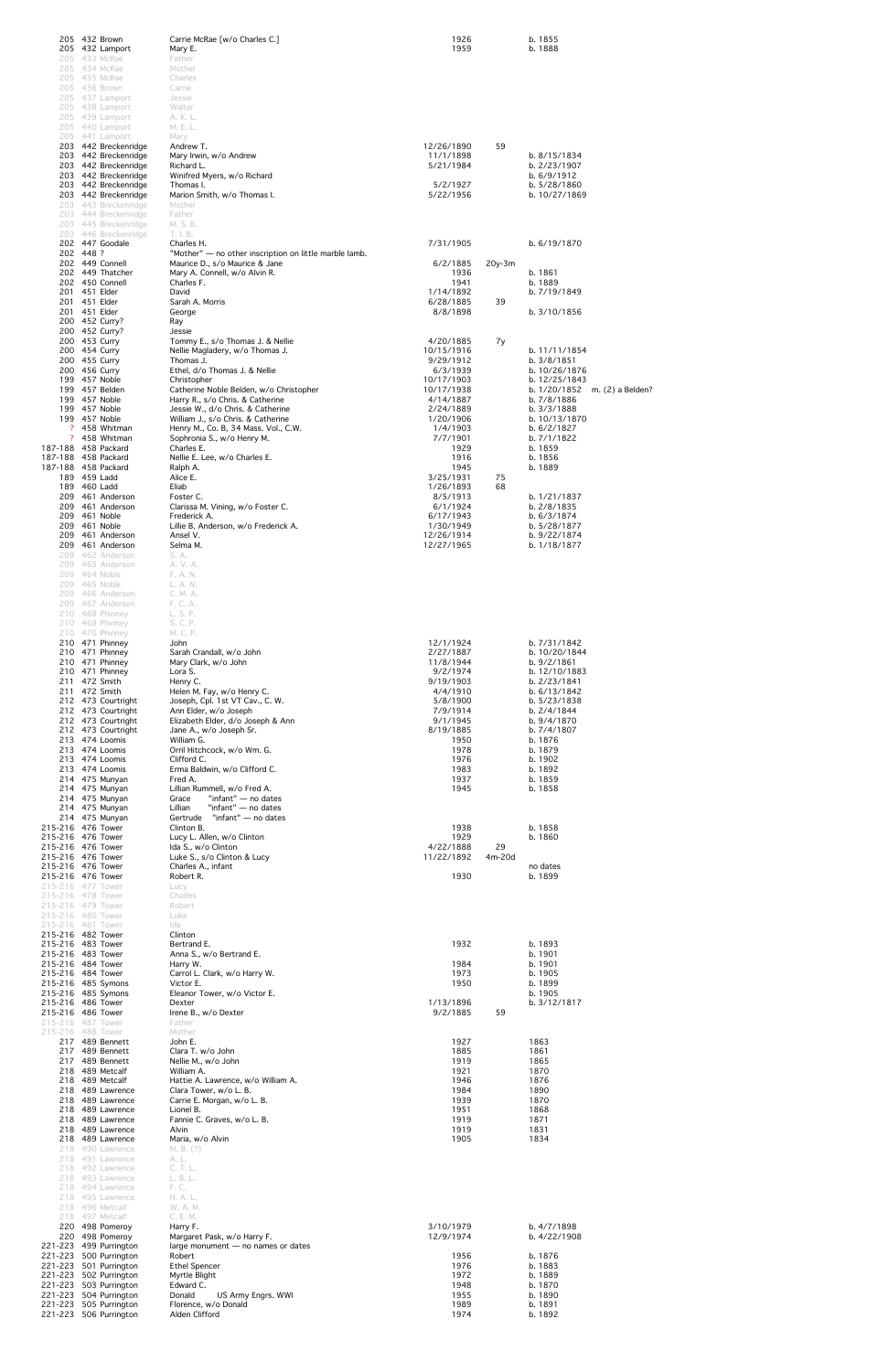|         | 205 432 Brown<br>205 432 Lamport                 | Carrie McRae [w/o Charles C.]<br>Mary E.                                    | 1926<br>1959             |          | b. 1855<br>b. 1888                               |  |
|---------|--------------------------------------------------|-----------------------------------------------------------------------------|--------------------------|----------|--------------------------------------------------|--|
|         | 205 433 McRae<br>205 434 McRae                   | Father<br>Mother                                                            |                          |          |                                                  |  |
|         | 205 435 McRae<br>205 436 Brown                   | Charles                                                                     |                          |          |                                                  |  |
|         | 205 437 Lamport                                  | Carrie<br>Jessie                                                            |                          |          |                                                  |  |
|         | 205 438 Lamport<br>205 439 Lamport               | Walter<br>A. K. L.                                                          |                          |          |                                                  |  |
|         | 205 440 Lamport<br>205 441 Lamport               | M. E. L.<br>Mary                                                            |                          |          |                                                  |  |
|         | 203 442 Breckenridge<br>203 442 Breckenridge     | Andrew T.<br>Mary Irwin, w/o Andrew                                         | 12/26/1890<br>11/1/1898  | 59       | b. 8/15/1834                                     |  |
|         | 203 442 Breckenridge<br>203 442 Breckenridge     | Richard L.<br>Winifred Myers, w/o Richard                                   | 5/21/1984                |          | b. 2/23/1907<br>b. 6/9/1912                      |  |
|         | 203 442 Breckenridge<br>203 442 Breckenridge     | Thomas I.<br>Marion Smith, w/o Thomas I.                                    | 5/2/1927<br>5/22/1956    |          | b. 5/28/1860<br>b. 10/27/1869                    |  |
|         | 203 443 Breckenridge<br>203 444 Breckenridge     | Mother<br>Father                                                            |                          |          |                                                  |  |
|         | 203 445 Breckenridge<br>203 446 Breckenridge     | M. S. B.<br>T. I. B.                                                        |                          |          |                                                  |  |
|         | 202 447 Goodale<br>202 448 ?                     | Charles H.<br>"Mother" - no other inscription on little marble lamb.        | 7/31/1905                |          | b. 6/19/1870                                     |  |
|         | 202 449 Connell<br>202 449 Thatcher              | Maurice D., s/o Maurice & Jane<br>Mary A. Connell, w/o Alvin R.             | 6/2/1885<br>1936         | $20y-3m$ | b. 1861                                          |  |
|         | 202 450 Connell<br>201 451 Elder                 | Charles F.                                                                  | 1941                     |          | b. 1889                                          |  |
|         | 201 451 Elder                                    | David<br>Sarah A. Morris                                                    | 1/14/1892<br>6/28/1885   | 39       | b. 7/19/1849                                     |  |
|         | 201 451 Elder<br>200 452 Curry?                  | George<br>Ray                                                               | 8/8/1898                 |          | b. 3/10/1856                                     |  |
|         | 200 452 Curry?<br>200 453 Curry                  | Jessie<br>Tommy E., s/o Thomas J. & Nellie                                  | 4/20/1885                | 7y       |                                                  |  |
|         | 200 454 Curry<br>200 455 Curry                   | Nellie Magladery, w/o Thomas J.<br>Thomas J.                                | 10/15/1916<br>9/29/1912  |          | b. 11/11/1854<br>b. 3/8/1851                     |  |
|         | 200 456 Curry<br>199 457 Noble                   | Ethel, d/o Thomas J. & Nellie<br>Christopher                                | 6/3/1939<br>10/17/1903   |          | b. 10/26/1876<br>b. 12/25/1843                   |  |
|         | 199 457 Belden<br>199 457 Noble                  | Catherine Noble Belden, w/o Christopher<br>Harry R., s/o Chris. & Catherine | 10/17/1938<br>4/14/1887  |          | b. $1/20/1852$ m. $(2)$ a Belden?<br>b. 7/8/1886 |  |
|         | 199 457 Noble<br>199 457 Noble                   | Jessie W., d/o Chris. & Catherine<br>William J., s/o Chris. & Catherine     | 2/24/1889<br>1/20/1906   |          | b. $3/3/1888$<br>b. 10/13/1870                   |  |
|         | 458 Whitman<br>? 458 Whitman                     | Henry M., Co. B, 34 Mass. Vol., C.W.<br>Sophronia S., w/o Henry M.          | 1/4/1903<br>7/7/1901     |          | b. 6/2/1827<br>b. 7/1/1822                       |  |
|         | 187-188 458 Packard<br>187-188 458 Packard       | Charles E.<br>Nellie E. Lee, w/o Charles E.                                 | 1929<br>1916             |          | b. 1859<br>b. 1856                               |  |
|         | 187-188 458 Packard<br>189 459 Ladd              | Ralph A.<br>Alice E.                                                        | 1945<br>3/25/1931        | 75       | b. 1889                                          |  |
|         | 189 460 Ladd<br>209 461 Anderson                 | Eliab<br>Foster C.                                                          | 1/26/1893<br>8/5/1913    | 68       | b. 1/21/1837                                     |  |
|         | 209 461 Anderson<br>209 461 Noble                | Clarissa M. Vining, w/o Foster C.<br>Frederick A.                           | 6/1/1924<br>6/17/1943    |          | b. 2/8/1835<br>b. 6/3/1874                       |  |
|         | 209 461 Noble                                    | Lillie B. Anderson, w/o Frederick A.                                        | 1/30/1949                |          | b. 5/28/1877                                     |  |
|         | 209 461 Anderson<br>209 461 Anderson             | Ansel V.<br>Selma M.                                                        | 12/26/1914<br>12/27/1965 |          | b. 9/22/1874<br>b. 1/18/1877                     |  |
|         | 209 462 Anderson<br>209 463 Anderson             | S. A.<br>A. V. A.                                                           |                          |          |                                                  |  |
|         | 209 464 Noble<br>209 465 Noble                   | F. A. N.<br>L. A. N.                                                        |                          |          |                                                  |  |
|         | 209 466 Anderson<br>209 467 Anderson             | C. M. A.<br>F. C. A.                                                        |                          |          |                                                  |  |
|         | 210 468 Phinney<br>210 469 Phinney               | L. S. P.<br>S. C. P.                                                        |                          |          |                                                  |  |
|         | 210 470 Phinney<br>210 471 Phinney               | M. C. P.<br>John                                                            | 12/1/1924                |          | b. 7/31/1842                                     |  |
|         | 210 471 Phinney<br>210 471 Phinney               | Sarah Crandall, w/o John<br>Mary Clark, w/o John                            | 2/27/1887<br>11/8/1944   |          | b. 10/20/1844<br>b. 9/2/1861                     |  |
|         | 210 471 Phinney<br>211 472 Smith                 | Lora S.<br>Henry C.                                                         | 9/2/1974<br>9/19/1903    |          | b. 12/10/1883<br>b. 2/23/1841                    |  |
|         | 211 472 Smith<br>212 473 Courtright              | Helen M. Fay, w/o Henry C.<br>Joseph, Cpl. 1st VT Cav., C. W.               | 4/4/1910<br>5/8/1900     |          | b. 6/13/1842<br>b. 5/23/1838                     |  |
|         | 212 473 Courtright<br>212 473 Courtright         | Ann Elder, w/o Joseph<br>Elizabeth Elder, d/o Joseph & Ann                  | 7/9/1914<br>9/1/1945     |          | b. 2/4/1844<br>b. 9/4/1870                       |  |
|         | 212 473 Courtright<br>213 474 Loomis             | Jane A., w/o Joseph Sr.<br>William G.                                       | 8/19/1885<br>1950        |          | b. 7/4/1807<br>b. 1876                           |  |
|         | 213 474 Loomis<br>213 474 Loomis                 | Orril Hitchcock, w/o Wm. G.<br>Clifford C.                                  | 1978<br>1976             |          | b. 1879<br>b. 1902                               |  |
|         | 213 474 Loomis<br>214 475 Munyan                 | Erma Baldwin, w/o Clifford C.<br>Fred A.                                    | 1983<br>1937             |          | b. 1892<br>b. 1859                               |  |
|         | 214 475 Munyan<br>214 475 Munyan                 | Lillian Rummell, w/o Fred A.<br>"infant" — no dates<br>Grace                | 1945                     |          | b. 1858                                          |  |
|         | 214 475 Munyan                                   | Lillian<br>"infant" — no dates                                              |                          |          |                                                  |  |
|         | 214 475 Munyan<br>215-216 476 Tower              | "infant" — no dates<br>Gertrude<br>Clinton B.                               | 1938                     |          | b. 1858                                          |  |
|         | 215-216 476 Tower<br>215-216 476 Tower           | Lucy L. Allen, w/o Clinton<br>Ida S., w/o Clinton                           | 1929<br>4/22/1888        | 29       | b. 1860                                          |  |
|         | 215-216 476 Tower<br>215-216 476 Tower           | Luke S., s/o Clinton & Lucy<br>Charles A., infant                           | 11/22/1892               | 4m-20d   | no dates                                         |  |
|         | 215-216 476 Tower<br>215-216 477 Tower           | Robert R.<br>Lucy                                                           | 1930                     |          | b. 1899                                          |  |
|         | 215-216 478 Tower<br>215-216 479 Tower           | Charles<br>Robert                                                           |                          |          |                                                  |  |
|         | 215-216 480 Tower<br>215-216 481 Tower           | Luke<br>Ida                                                                 |                          |          |                                                  |  |
|         | 215-216 482 Tower<br>215-216 483 Tower           | Clinton<br>Bertrand E.                                                      | 1932                     |          | b. 1893                                          |  |
|         | 215-216 483 Tower<br>215-216 484 Tower           | Anna S., w/o Bertrand E.<br>Harry W.                                        | 1984                     |          | b. 1901<br>b. 1901                               |  |
|         | 215-216 484 Tower<br>215-216 485 Symons          | Carrol L. Clark, w/o Harry W.<br>Victor E.                                  | 1973<br>1950             |          | b. 1905<br>b. 1899                               |  |
|         | 215-216 485 Symons<br>215-216 486 Tower          | Eleanor Tower, w/o Victor E.<br>Dexter                                      | 1/13/1896                |          | b. 1905<br>b. 3/12/1817                          |  |
|         | 215-216 486 Tower<br>215-216 487 Tower           | Irene B., w/o Dexter<br>Father                                              | 9/2/1885                 | 59       |                                                  |  |
|         | 215-216 488 Tower<br>217 489 Bennett             | Mother<br>John E.                                                           | 1927                     |          | 1863                                             |  |
|         | 217 489 Bennett<br>217 489 Bennett               | Clara T. w/o John<br>Nellie M., w/o John                                    | 1885<br>1919             |          | 1861<br>1865                                     |  |
|         | 218 489 Metcalf<br>218 489 Metcalf               | William A.<br>Hattie A. Lawrence, w/o William A.                            | 1921<br>1946             |          | 1870<br>1876                                     |  |
|         | 218 489 Lawrence                                 | Clara Tower, w/o L. B.                                                      | 1984                     |          | 1890                                             |  |
|         | 218 489 Lawrence<br>218 489 Lawrence             | Carrie E. Morgan, w/o L. B.<br>Lionel B.                                    | 1939<br>1951             |          | 1870<br>1868                                     |  |
|         | 218 489 Lawrence<br>218 489 Lawrence             | Fannie C. Graves, w/o L. B.<br>Alvin                                        | 1919<br>1919             |          | 1871<br>1831                                     |  |
|         | 218 489 Lawrence<br>218 490 Lawrence             | Maria, w/o Alvin<br>M. B. (?)                                               | 1905                     |          | 1834                                             |  |
|         | 218 491 Lawrence<br>218 492 Lawrence             | A. L.<br>C. T. L.                                                           |                          |          |                                                  |  |
|         | 218 493 Lawrence<br>218 494 Lawrence             | L. B. L.<br>F. C.                                                           |                          |          |                                                  |  |
|         | 218 495 Lawrence<br>218 496 Metcalf              | H. A. L.<br>W. A. M.                                                        |                          |          |                                                  |  |
|         | 218 497 Metcalf<br>220 498 Pomeroy               | C. E. M.<br>Harry F.                                                        | 3/10/1979                |          | b. 4/7/1898                                      |  |
|         | 220 498 Pomeroy<br>221-223 499 Purrington        | Margaret Pask, w/o Harry F.<br>large monument $-$ no names or dates         | 12/9/1974                |          | b. 4/22/1908                                     |  |
|         | 221-223 500 Purrington<br>221-223 501 Purrington | Robert<br><b>Ethel Spencer</b>                                              | 1956<br>1976             |          | b. 1876<br>b. 1883                               |  |
|         | 221-223 502 Purrington<br>221-223 503 Purrington | Myrtle Blight<br>Edward C.                                                  | 1972<br>1948             |          | b. 1889<br>b. 1870                               |  |
| 221-223 | 504 Purrington<br>221-223 505 Purrington         | Donald<br>US Army Engrs. WWI<br>Florence, w/o Donald                        | 1955<br>1989             |          | b. 1890<br>b. 1891                               |  |
|         | 221-223 506 Purrington                           | Alden Clifford                                                              | 1974                     |          | b. 1892                                          |  |